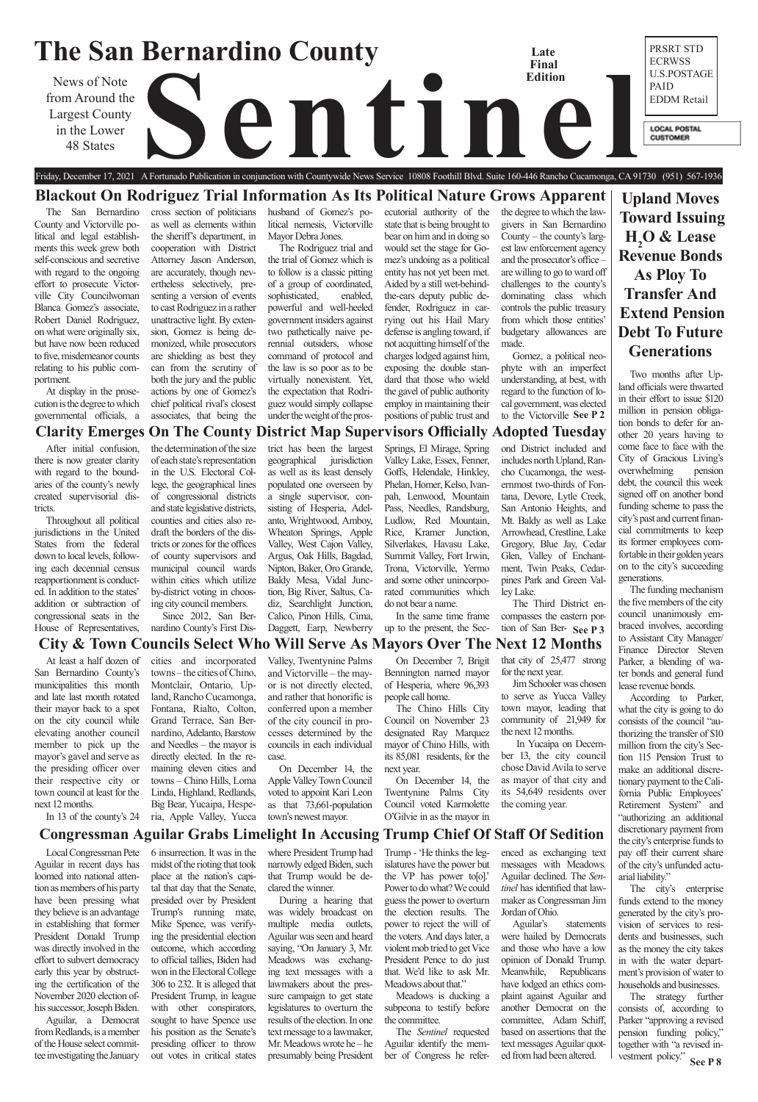

**Upland Moves Toward Issuing H2 O & Lease Revenue Bonds As Ploy To Transfer And Extend Pension Debt To Future Generations** 

# Friday, December 17, 2021 A Fortunado Publication in conjunction with Countywide News Service 10808 Foothill Blvd. Suite 160-446 Rancho Cucamonga, CA 91730 (951) 567-1936 **Blackout On Rodriguez Trial Information As Its Political Nature Grows Apparent**

**City & Town Councils Select Who Will Serve As Mayors Over The Next 12 Months**

The San Bernardino County and Victorville political and legal establishments this week grew both self-conscious and secretive with regard to the ongoing effort to prosecute Victorville City Councilwoman Blanca Gomez's associate, Robert Daniel Rodriguez, on what were originally six, but have now been reduced to five, misdemeanor counts relating to his public comportment.

At display in the prosecution is the degree to which governmental officials, a cross section of politicians as well as elements within the sheriff's department, in cooperation with District Attorney Jason Anderson, are accurately, though nevertheless selectively, presenting a version of events to cast Rodriguez in a rather unattractive light. By extension, Gomez is being demonized, while prosecutors are shielding as best they can from the scrutiny of both the jury and the public actions by one of Gomez's chief political rival's closest associates, that being the

**See P 2** to the Victorville Gomez, a political neophyte with an imperfect understanding, at best, with regard to the function of local government, was elected

husband of Gomez's political nemesis, Victorville Mayor Debra Jones.

The Rodriguez trial and the trial of Gomez which is to follow is a classic pitting of a group of coordinated, sophisticated, enabled, powerful and well-heeled government insiders against two pathetically naive perennial outsiders, whose command of protocol and the law is so poor as to be virtually nonexistent. Yet, the expectation that Rodriguez would simply collapse under the weight of the prosecutorial authority of the state that is being brought to bear on him and in doing so would set the stage for Gomez's undoing as a political entity has not yet been met. Aided by a still wet-behindthe-ears deputy public defender, Rodriguez in carrying out his Hail Mary defense is angling toward, if not acquitting himself of the charges lodged against him, exposing the double standard that those who wield the gavel of public authority employ in maintaining their positions of public trust and

**Congressman Aguilar Grabs Limelight In Accusing Trump Chief Of Staff Of Sedition** O'Gilvie in as the mayor in

the degree to which the lawgivers in San Bernardino County – the county's largest law enforcement agency and the prosecutor's office – are willing to go to ward off challenges to the county's dominating class which controls the public treasury from which those entities' budgetary allowances are made.

**Clarity Emerges On The County District Map Supervisors Officially Adopted Tuesday** the determination of the size

At least a half dozen of San Bernardino County's municipalities this month and late last month rotated their mayor back to a spot on the city council while elevating another council member to pick up the mayor's gavel and serve as the presiding officer over their respective city or town council at least for the

next 12 months. In 13 of the county's 24

**See P 3** tion of San Bercompasses the eastern por-

cities and incorporated towns – the cities of Chino, Montclair, Ontario, Upland, Rancho Cucamonga, Fontana, Rialto, Colton, Grand Terrace, San Bernardino, Adelanto, Barstow and Needles – the mayor is directly elected. In the remaining eleven cities and towns – Chino Hills, Loma Linda, Highland, Redlands, Big Bear, Yucaipa, Hesperia, Apple Valley, Yucca

Valley, Twentynine Palms and Victorville – the mayor is not directly elected, and rather that honorific is conferred upon a member of the city council in processes determined by the councils in each individual

case.

On December 14, the Apple Valley Town Council voted to appoint Kari Leon as that 73,661-population town's newest mayor.

On December 7, Brigit Bennington named mayor of Hesperia, where 96,393 people call home.

The Chino Hills City Council on November 23 designated Ray Marquez mayor of Chino Hills, with its 85,081 residents, for the next year.

Twentynine Palms City Council voted Karmolette

> **See P 8** vestment policy." The city's enterprise funds extend to the money generated by the city's provision of services to residents and businesses, such as the money the city takes in with the water department's provision of water to households and businesses. The strategy further consists of, according to Parker "approving a revised pension funding policy," together with "a revised in-

that city of 25,477 strong for the next year.

On December 14, the the next 12 months.

Jim Schooler was chosen to serve as Yucca Valley town mayor, leading that community of 21,949 for

 In Yucaipa on December 13, the city council chose David Avila to serve as mayor of that city and its 54,649 residents over the coming year.

After initial confusion, there is now greater clarity with regard to the boundaries of the county's newly created supervisorial districts.

Throughout all political jurisdictions in the United States from the federal down to local levels, following each decennial census reapportionment is conducted. In addition to the states' addition or subtraction of congressional seats in the House of Representatives, of each state's representation in the U.S. Electoral College, the geographical lines of congressional districts and state legislative districts, counties and cities also redraft the borders of the districts or zones for the offices of county supervisors and municipal council wards within cities which utilize by-district voting in choosing city council members.

Since 2012, San Bernardino County's First District has been the largest geographical jurisdiction

as well as its least densely populated one overseen by a single supervisor, consisting of Hesperia, Adelanto, Wrightwood, Amboy, Wheaton Springs, Apple Valley, West Cajon Valley, Argus, Oak Hills, Bagdad, Nipton, Baker, Oro Grande, Baldy Mesa, Vidal Junction, Big River, Saltus, Cadiz, Searchlight Junction, Calico, Pinon Hills, Cima, Daggett, Earp, Newberry Springs, El Mirage, Spring Valley Lake, Essex, Fenner, Goffs, Helendale, Hinkley, Phelan, Homer, Kelso, Ivanpah, Lenwood, Mountain Pass, Needles, Randsburg, Ludlow, Red Mountain, Rice, Kramer Junction, Silverlakes, Havasu Lake, Summit Valley, Fort Irwin, Trona, Victorville, Yermo and some other unincorporated communities which do not bear a name. In the same time frame

up to the present, the Sec-

ond District included and

includes north Upland, Rancho Cucamonga, the westernmost two-thirds of Fontana, Devore, Lytle Creek, San Antonio Heights, and Mt. Baldy as well as Lake Arrowhead, Crestline, Lake Gregory, Blue Jay, Cedar Glen, Valley of Enchantment, Twin Peaks, Cedarpines Park and Green Valley Lake. The Third District en-

Two months after Upland officials were thwarted in their effort to issue \$120 million in pension obligation bonds to defer for another 20 years having to come face to face with the City of Gracious Living's overwhelming pension debt, the council this week signed off on another bond funding scheme to pass the city's past and current financial commitments to keep its former employees comfortable in their golden years on to the city's succeeding generations.

The funding mechanism the five members of the city council unanimously embraced involves, according to Assistant City Manager/ Finance Director Steven Parker, a blending of water bonds and general fund lease revenue bonds.

According to Parker, what the city is going to do consists of the council "authorizing the transfer of \$10 million from the city's Section 115 Pension Trust to make an additional discretionary payment to the California Public Employees' Retirement System" and "authorizing an additional discretionary payment from the city's enterprise funds to pay off their current share

of the city's unfunded actuarial liability."

Aguilar in recent days has loomed into national attention as members of his party have been pressing what they believe is an advantage in establishing that former President Donald Trump was directly involved in the effort to subvert democracy early this year by obstructing the certification of the November 2020 election ofhis successor, Joseph Biden. Aguilar, a Democrat from Redlands, is a member of the House select committee investigating the January

midst of the rioting that took place at the nation's capital that day that the Senate, presided over by President Trump's running mate, Mike Spence, was verifying the presidential election outcome, which according to official tallies, Biden had won in the Electoral College 306 to 232. It is alleged that President Trump, in league with other conspirators, sought to have Spence use his position as the Senate's presiding officer to throw out votes in critical states

Local Congressman Pete 6 insurrection. It was in the where President Trump had Trump - 'He thinks the leg-enced as exchanging text

narrowly edged Biden, such that Trump would be declared the winner.

During a hearing that was widely broadcast on multiple media outlets, Aguilar was seen and heard saying, "On January 3, Mr. Meadows was exchanging text messages with a lawmakers about the pressure campaign to get state legislatures to overturn the results of the election. In one text message to a lawmaker, Mr. Meadows wrote he – he presumably being President

islatures have the power but the VP has power to[o].' Power to do what? We could guess the power to overturn the election results. The power to reject the will of the voters. And days later, a violent mob tried to get Vice President Pence to do just that. We'd like to ask Mr. Meadows about that." Meadows is ducking a subpeona to testify before the committee.

The *Sentinel* requested Aguilar identify the member of Congress he refer-

messages with Meadows. Aguilar declined. The *Sentinel* has identified that lawmaker as Congressman Jim Jordan of Ohio. Aguilar's statements were hailed by Democrats and those who have a low opinion of Donald Trump. Meanwhile, Republicans have lodged an ethics complaint against Aguilar and another Democrat on the committee, Adam Schiff, based on assertions that the text messages Aguilar quoted from had been altered.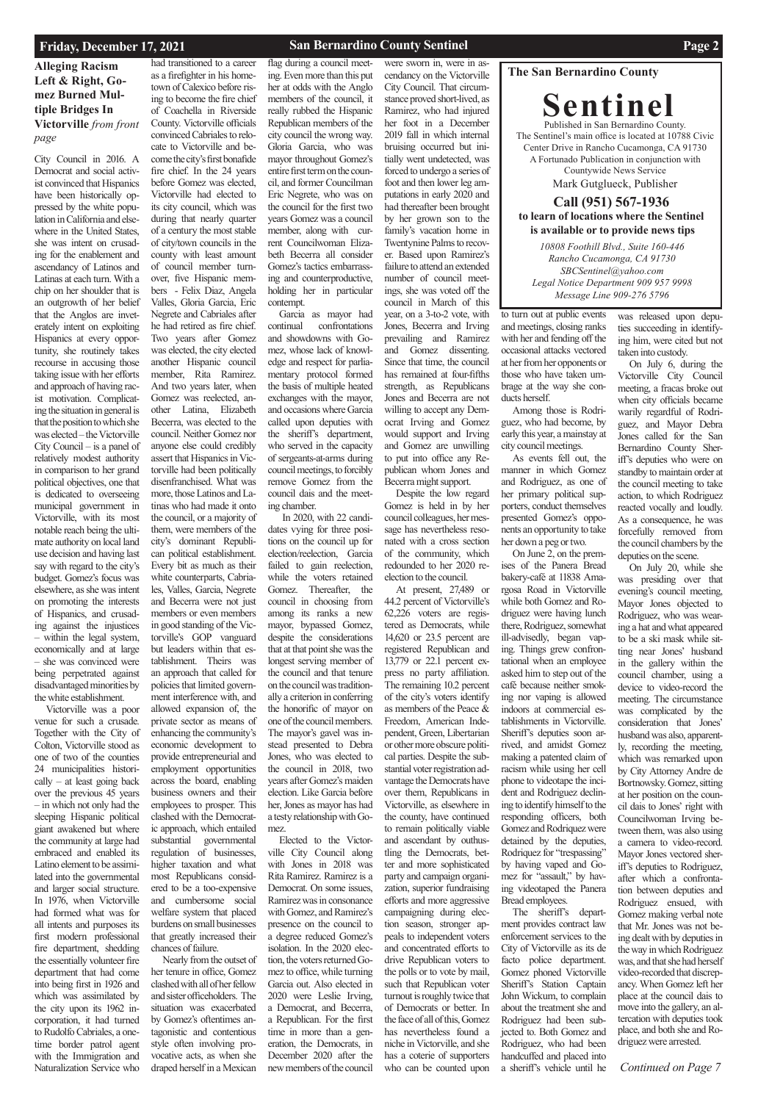## **San Bernardino County Sentinel Page 2**

### **The San Bernardino County**

**Sentinel** Published in San Bernardino County. The Sentinel's main office is located at 10788 Civic Center Drive in Rancho Cucamonga, CA 91730 A Fortunado Publication in conjunction with Countywide News Service Mark Gutglueck, Publisher

## **Call (951) 567-1936 to learn of locations where the Sentinel is available or to provide news tips**

# **Alleging Racism Left & Right, Gomez Burned Multiple Bridges In Victorville** *from front page*

*Continued on Page 7*

*10808 Foothill Blvd., Suite 160-446 Rancho Cucamonga, CA 91730 SBCSentinel@yahoo.com Legal Notice Department 909 957 9998 Message Line 909-276 5796*

## **Friday, December 17, 2021**

City Council in 2016. A Democrat and social activist convinced that Hispanics have been historically oppressed by the white population in California and elsewhere in the United States, she was intent on crusading for the enablement and ascendancy of Latinos and Latinas at each turn. With a chip on her shoulder that is an outgrowth of her belief that the Anglos are inveterately intent on exploiting Hispanics at every opportunity, she routinely takes recourse in accusing those taking issue with her efforts and approach of having racist motivation. Complicating the situation in general is that the position to which she was elected – the Victorville City Council – is a panel of relatively modest authority in comparison to her grand political objectives, one that is dedicated to overseeing municipal government in Victorville, with its most notable reach being the ultimate authority on local land use decision and having last say with regard to the city's budget. Gomez's focus was elsewhere, as she was intent on promoting the interests of Hispanics, and crusading against the injustices – within the legal system, economically and at large – she was convinced were being perpetrated against disadvantaged minorities by the white establishment.

Victorville was a poor venue for such a crusade. Together with the City of Colton, Victorville stood as one of two of the counties 24 municipalities historically – at least going back over the previous 45 years – in which not only had the sleeping Hispanic political giant awakened but where the community at large had embraced and enabled its Latino element to be assimilated into the governmental and larger social structure. In 1976, when Victorville had formed what was for all intents and purposes its first modern professional fire department, shedding the essentially volunteer fire department that had come into being first in 1926 and which was assimilated by the city upon its 1962 incorporation, it had turned to Rudolfo Cabriales, a onetime border patrol agent with the Immigration and Naturalization Service who

had transitioned to a career as a firefighter in his hometown of Calexico before rising to become the fire chief of Coachella in Riverside County. Victorville officials convinced Cabriales to relocate to Victorville and become the city's first bonafide fire chief. In the 24 years before Gomez was elected, Victorville had elected to its city council, which was during that nearly quarter of a century the most stable of city/town councils in the county with least amount of council member turnover, five Hispanic members - Felix Diaz, Angela Valles, Gloria Garcia, Eric Negrete and Cabriales after he had retired as fire chief. Two years after Gomez was elected, the city elected another Hispanic council member, Rita Ramirez. And two years later, when Gomez was reelected, another Latina, Elizabeth Becerra, was elected to the council. Neither Gomez nor anyone else could credibly assert that Hispanics in Victorville had been politically disenfranchised. What was more, those Latinos and Latinas who had made it onto the council, or a majority of them, were members of the city's dominant Republican political establishment. Every bit as much as their white counterparts, Cabriales, Valles, Garcia, Negrete and Becerra were not just members or even members in good standing of the Victorville's GOP vanguard but leaders within that establishment. Theirs was an approach that called for policies that limited government interference with, and allowed expansion of, the private sector as means of enhancing the community's economic development to provide entrepreneurial and employment opportunities across the board, enabling business owners and their employees to prosper. This clashed with the Democratic approach, which entailed substantial governmental regulation of businesses, holding her in particular

higher taxation and what most Republicans considered to be a too-expensive and cumbersome social welfare system that placed burdens on small businesses that greatly increased their chances of failure.

Nearly from the outset of her tenure in office, Gomez clashed with all of her fellow and sister officeholders. The situation was exacerbated by Gomez's oftentimes antagonistic and contentious style often involving provocative acts, as when she draped herself in a Mexican

### flag during a council meeting. Even more than this put her at odds with the Anglo members of the council, it really rubbed the Hispanic Republican members of the city council the wrong way. Gloria Garcia, who was mayor throughout Gomez's entire first term on the council, and former Councilman Eric Negrete, who was on the council for the first two years Gomez was a council member, along with current Councilwoman Elizabeth Becerra all consider Gomez's tactics embarrass-

ing and counterproductive,

contempt. Garcia as mayor had continual confrontations and showdowns with Gomez, whose lack of knowledge and respect for parliamentary protocol formed the basis of multiple heated exchanges with the mayor, and occasions where Garcia called upon deputies with the sheriff's department, who served in the capacity of sergeants-at-arms during council meetings, to forcibly remove Gomez from the council dais and the meeting chamber.

 In 2020, with 22 candidates vying for three positions on the council up for election/reelection, Garcia failed to gain reelection, while the voters retained Gomez. Thereafter, the council in choosing from among its ranks a new mayor, bypassed Gomez, despite the considerations that at that point she was the longest serving member of the council and that tenure on the council was traditionally a criterion in conferring the honorific of mayor on one of the council members. The mayor's gavel was instead presented to Debra Jones, who was elected to the council in 2018, two years after Gomez's maiden election. Like Garcia before her, Jones as mayor has had a testy relationship with Gomez.

Elected to the Victorville City Council along

with Jones in 2018 was Rita Ramirez. Ramirez is a Democrat. On some issues, Ramirez was in consonance with Gomez, and Ramirez's presence on the council to a degree reduced Gomez's isolation. In the 2020 election, the voters returned Gomez to office, while turning Garcia out. Also elected in 2020 were Leslie Irving, a Democrat, and Becerra, a Republican. For the first time in more than a generation, the Democrats, in December 2020 after the new members of the council

were sworn in, were in ascendancy on the Victorville City Council. That circumstance proved short-lived, as Ramirez, who had injured her foot in a December 2019 fall in which internal bruising occurred but initially went undetected, was forced to undergo a series of foot and then lower leg amputations in early 2020 and had thereafter been brought by her grown son to the family's vacation home in Twentynine Palms to recover. Based upon Ramirez's failure to attend an extended number of council meetings, she was voted off the council in March of this year, on a 3-to-2 vote, with Jones, Becerra and Irving prevailing and Ramirez and Gomez dissenting. Since that time, the council has remained at four-fifths strength, as Republicans Jones and Becerra are not willing to accept any Democrat Irving and Gomez would support and Irving and Gomez are unwilling to put into office any Republican whom Jones and

Becerra might support. Despite the low regard Gomez is held in by her council colleagues, her message has nevertheless resonated with a cross section of the community, which redounded to her 2020 re-

election to the council.

At present, 27,489 or 44.2 percent of Victorville's 62,226 voters are registered as Democrats, while 14,620 or 23.5 percent are registered Republican and 13,779 or 22.1 percent express no party affiliation. The remaining 10.2 percent of the city's voters identify as members of the Peace & Freedom, American Independent, Green, Libertarian or other more obscure political parties. Despite the substantial voter registration advantage the Democrats have over them, Republicans in Victorville, as elsewhere in the county, have continued to remain politically viable and ascendant by outhustling the Democrats, better and more sophisticated party and campaign organization, superior fundraising efforts and more aggressive campaigning during election season, stronger appeals to independent voters and concentrated efforts to drive Republican voters to the polls or to vote by mail, such that Republican voter turnout is roughly twice that of Democrats or better. In the face of all of this, Gomez has nevertheless found a niche in Victorville, and she has a coterie of supporters who can be counted upon

to turn out at public events and meetings, closing ranks with her and fending off the occasional attacks vectored at her from her opponents or those who have taken umbrage at the way she conducts herself.

Among those is Rodriguez, who had become, by early this year, a mainstay at city council meetings.

As events fell out, the manner in which Gomez and Rodriguez, as one of her primary political supporters, conduct themselves presented Gomez's opponents an opportunity to take her down a peg or two.

On June 2, on the premises of the Panera Bread bakery-café at 11838 Amargosa Road in Victorville while both Gomez and Rodriguez were having lunch there, Rodriguez, somewhat ill-advisedly, began vaping. Things grew confrontational when an employee asked him to step out of the café because neither smoking nor vaping is allowed indoors at commercial establishments in Victorville. Sheriff's deputies soon arrived, and amidst Gomez making a patented claim of racism while using her cell phone to videotape the incident and Rodriguez declining to identify himself to the responding officers, both Gomez and Rodriquez were detained by the deputies, Rodriquez for "trespassing" by having vaped and Gomez for "assault," by having videotaped the Panera Bread employees. The sheriff's department provides contract law enforcement services to the City of Victorville as its de facto police department. Gomez phoned Victorville Sheriff's Station Captain John Wickum, to complain about the treatment she and Rodriguez had been subjected to. Both Gomez and Rodriguez, who had been handcuffed and placed into a sheriff's vehicle until he

was released upon deputies succeeding in identifying him, were cited but not taken into custody.

On July 6, during the Victorville City Council meeting, a fracas broke out when city officials became warily regardful of Rodriguez, and Mayor Debra Jones called for the San Bernardino County Sheriff's deputies who were on standby to maintain order at the council meeting to take action, to which Rodriguez reacted vocally and loudly. As a consequence, he was forcefully removed from the council chambers by the deputies on the scene.

On July 20, while she was presiding over that evening's council meeting, Mayor Jones objected to Rodriguez, who was wearing a hat and what appeared to be a ski mask while sitting near Jones' husband in the gallery within the council chamber, using a device to video-record the meeting. The circumstance was complicated by the consideration that Jones' husband was also, apparently, recording the meeting, which was remarked upon by City Attorney Andre de Bortnowsky. Gomez, sitting at her position on the council dais to Jones' right with Councilwoman Irving between them, was also using a camera to video-record. Mayor Jones vectored sheriff's deputies to Rodriguez, after which a confrontation between deputies and Rodriguez ensued, with Gomez making verbal note that Mr. Jones was not being dealt with by deputies in the way in which Rodriguez was, and that she had herself video-recorded that discrepancy. When Gomez left her place at the council dais to move into the gallery, an altercation with deputies took place, and both she and Rodriguez were arrested.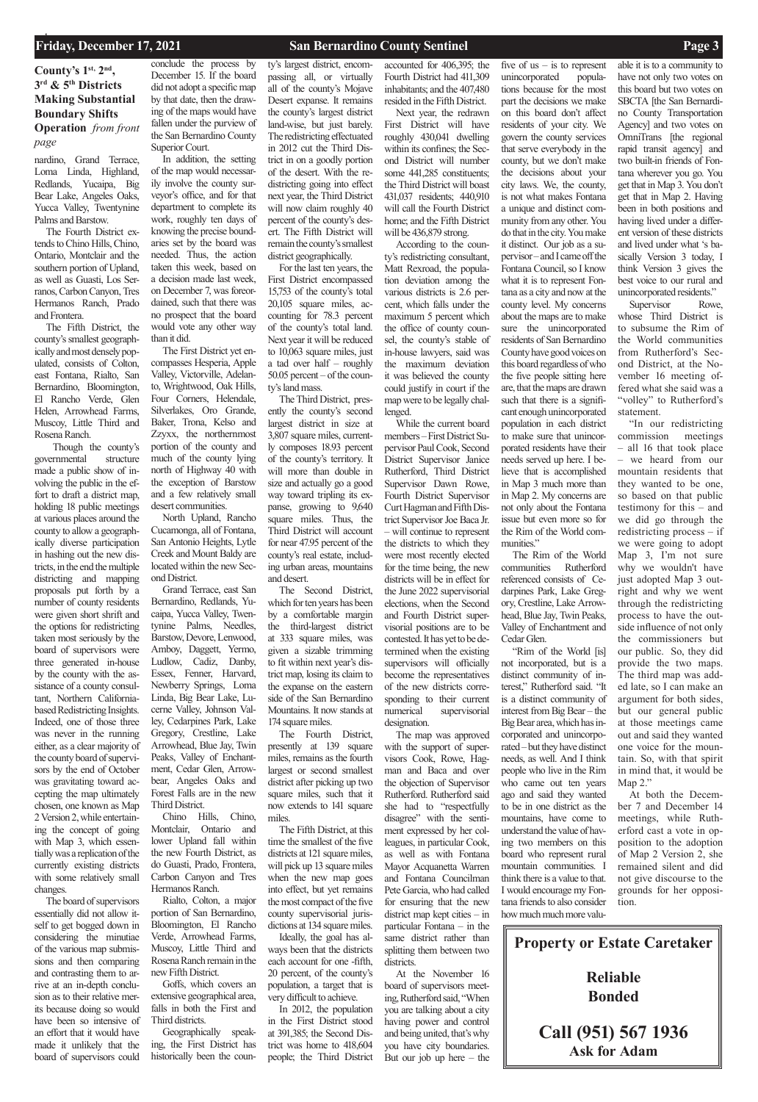# **Friday, December 17, 2021** <sup>1</sup> **San Bernardino County Sentinel Page 3**

# **County's 1st, 2nd, 3rd & 5th Districts Making Substantial Boundary Shifts Operation** *from front page*

nardino, Grand Terrace, Loma Linda, Highland, Redlands, Yucaipa, Big Bear Lake, Angeles Oaks, Yucca Valley, Twentynine Palms and Barstow.

The Fourth District extends to Chino Hills, Chino, Ontario, Montclair and the southern portion of Upland, as well as Guasti, Los Serranos, Carbon Canyon, Tres Hermanos Ranch, Prado and Frontera.

The Fifth District, the county's smallest geographically and most densely populated, consists of Colton, east Fontana, Rialto, San Bernardino, Bloomington, El Rancho Verde, Glen Helen, Arrowhead Farms, Muscoy, Little Third and Rosena Ranch.

 Though the county's governmental structure made a public show of involving the public in the effort to draft a district map, holding 18 public meetings at various places around the county to allow a geographically diverse participation in hashing out the new districts, in the end the multiple districting and mapping proposals put forth by a number of county residents were given short shrift and the options for redistricting taken most seriously by the board of supervisors were three generated in-house by the county with the assistance of a county consultant, Northern Californiabased Redistricting Insights. Indeed, one of those three was never in the running either, as a clear majority of the county board of supervisors by the end of October was gravitating toward accepting the map ultimately chosen, one known as Map 2 Version 2, while entertaining the concept of going with Map 3, which essentially was a replication of the currently existing districts with some relatively small changes. The board of supervisors essentially did not allow itself to get bogged down in considering the minutiae of the various map submissions and then comparing and contrasting them to arrive at an in-depth conclusion as to their relative merits because doing so would have been so intensive of an effort that it would have made it unlikely that the board of supervisors could

conclude the process by December 15. If the board did not adopt a specific map by that date, then the drawing of the maps would have fallen under the purview of the San Bernardino County Superior Court.

In addition, the setting of the map would necessarily involve the county surveyor's office, and for that department to complete its work, roughly ten days of knowing the precise boundaries set by the board was needed. Thus, the action taken this week, based on a decision made last week, on December 7, was foreordained, such that there was no prospect that the board would vote any other way than it did.

The First District yet encompasses Hesperia, Apple Valley, Victorville, Adelanto, Wrightwood, Oak Hills, Four Corners, Helendale, Silverlakes, Oro Grande, Baker, Trona, Kelso and Zzyxx, the northernmost portion of the county and much of the county lying north of Highway 40 with the exception of Barstow and a few relatively small desert communities.

North Upland, Rancho Cucamonga, all of Fontana, San Antonio Heights, Lytle Creek and Mount Baldy are located within the new Second District.

Grand Terrace, east San Bernardino, Redlands, Yucaipa, Yucca Valley, Twentynine Palms, Needles, Barstow, Devore, Lenwood, Amboy, Daggett, Yermo, Ludlow, Cadiz, Danby, Essex, Fenner, Harvard, Newberry Springs, Loma Linda, Big Bear Lake, Lucerne Valley, Johnson Valley, Cedarpines Park, Lake Gregory, Crestline, Lake Arrowhead, Blue Jay, Twin Peaks, Valley of Enchantment, Cedar Glen, Arrowbear, Angeles Oaks and Forest Falls are in the new Third District.

Chino Hills, Chino, Montclair, Ontario and lower Upland fall within the new Fourth District, as

do Guasti, Prado, Frontera, Carbon Canyon and Tres Hermanos Ranch.

Rialto, Colton, a major portion of San Bernardino, Bloomington, El Rancho Verde, Arrowhead Farms, Muscoy, Little Third and Rosena Ranch remain in the new Fifth District.

The map was approved with the support of supervisors Cook, Rowe, Hagman and Baca and over the objection of Supervisor Rutherford. Rutherford said she had to "respectfully disagree" with the sentiment expressed by her colleagues, in particular Cook, as well as with Fontana Mayor Acquanetta Warren and Fontana Councilman Pete Garcia, who had called for ensuring that the new district map kept cities – in particular Fontana – in the same district rather than splitting them between two districts. At the November 16 board of supervisors meeting, Rutherford said, "When you are talking about a city having power and control and being united, that's why you have city boundaries. But our job up here  $-$  the

Goffs, which covers an extensive geographical area, falls in both the First and Third districts.

Geographically speaking, the First District has historically been the county's largest district, encompassing all, or virtually all of the county's Mojave Desert expanse. It remains the county's largest district land-wise, but just barely. The redistricting effectuated in 2012 cut the Third District in on a goodly portion of the desert. With the redistricting going into effect next year, the Third District will now claim roughly 40 percent of the county's desert. The Fifth District will remain the county's smallest district geographically.

For the last ten years, the First District encompassed 15,753 of the county's total 20,105 square miles, accounting for 78.3 percent of the county's total land. Next year it will be reduced to 10,063 square miles, just a tad over half – roughly 50.05 percent – of the county's land mass.

five of  $us - is$  to represent unincorporated populations because for the most part the decisions we make on this board don't affect residents of your city. We govern the county services that serve everybody in the county, but we don't make the decisions about your city laws. We, the county, is not what makes Fontana a unique and distinct community from any other. You do that in the city. You make it distinct. Our job as a supervisor – and I came off the Fontana Council, so I know what it is to represent Fontana as a city and now at the county level. My concerns about the maps are to make sure the unincorporated residents of San Bernardino County have good voices on this board regardless of who the five people sitting here are, that the maps are drawn such that there is a significant enough unincorporated population in each district to make sure that unincorporated residents have their needs served up here. I believe that is accomplished in Map 3 much more than in Map 2. My concerns are not only about the Fontana issue but even more so for the Rim of the World communities."

The Third District, presently the county's second largest district in size at 3,807 square miles, currently composes 18.93 percent of the county's territory. It will more than double in size and actually go a good way toward tripling its expanse, growing to 9,640 square miles. Thus, the Third District will account for near 47.95 percent of the county's real estate, including urban areas, mountains and desert.

The Second District, which for ten years has been by a comfortable margin the third-largest district at 333 square miles, was given a sizable trimming to fit within next year's district map, losing its claim to the expanse on the eastern side of the San Bernardino Mountains. It now stands at 174 square miles.

Supervisor Rowe, whose Third District is to subsume the Rim of the World communities from Rutherford's Second District, at the November 16 meeting offered what she said was a "volley" to Rutherford's statement.

"In our redistricting commission meetings – all 16 that took place – we heard from our mountain residents that they wanted to be one, so based on that public testimony for this – and we did go through the redistricting process – if we were going to adopt Map 3, I'm not sure why we wouldn't have just adopted Map 3 outright and why we went through the redistricting process to have the outside influence of not only the commissioners but our public. So, they did provide the two maps. The third map was added late, so I can make an argument for both sides, but our general public at those meetings came out and said they wanted one voice for the mountain. So, with that spirit in mind that, it would be Map 2."

The Fourth District, presently at 139 square miles, remains as the fourth largest or second smallest district after picking up two square miles, such that it now extends to 141 square miles.

The Fifth District, at this time the smallest of the five districts at 121 square miles,

will pick up 13 square miles when the new map goes into effect, but yet remains the most compact of the five county supervisorial jurisdictions at 134 square miles. Ideally, the goal has always been that the districts each account for one -fifth, 20 percent, of the county's population, a target that is very difficult to achieve. In 2012, the population in the First District stood at 391,385; the Second District was home to 418,604 people; the Third District accounted for 406,395; the Fourth District had 411,309 inhabitants; and the 407,480 resided in the Fifth District.

Next year, the redrawn First District will have roughly 430,041 dwelling within its confines; the Second District will number some 441,285 constituents; the Third District will boast 431,037 residents; 440,910 will call the Fourth District home; and the Fifth District will be 436,879 strong.

According to the county's redistricting consultant, Matt Rexroad, the population deviation among the various districts is 2.6 percent, which falls under the maximum 5 percent which the office of county counsel, the county's stable of in-house lawyers, said was the maximum deviation it was believed the county could justify in court if the map were to be legally challenged.

While the current board members – First District Supervisor Paul Cook, Second District Supervisor Janice Rutherford, Third District Supervisor Dawn Rowe, Fourth District Supervisor Curt Hagman and Fifth District Supervisor Joe Baca Jr. – will continue to represent the districts to which they were most recently elected for the time being, the new districts will be in effect for the June 2022 supervisorial elections, when the Second and Fourth District supervisorial positions are to be contested. It has yet to be determined when the existing supervisors will officially become the representatives of the new districts corresponding to their current numerical supervisorial designation.

The Rim of the World communities Rutherford referenced consists of Cedarpines Park, Lake Gregory, Crestline, Lake Arrowhead, Blue Jay, Twin Peaks, Valley of Enchantment and Cedar Glen.

"Rim of the World [is] not incorporated, but is a distinct community of interest," Rutherford said. "It is a distinct community of interest from Big Bear – the Big Bear area, which has incorporated and unincorporated – but they have distinct needs, as well. And I think people who live in the Rim who came out ten years ago and said they wanted to be in one district as the mountains, have come to understand the value of having two members on this board who represent rural mountain communities. I think there is a value to that. I would encourage my Fontana friends to also consider how much much more valu-

able it is to a community to have not only two votes on this board but two votes on SBCTA [the San Bernardino County Transportation Agency] and two votes on OmniTrans [the regional rapid transit agency] and two built-in friends of Fontana wherever you go. You get that in Map 3. You don't get that in Map 2. Having been in both positions and having lived under a different version of these districts and lived under what 's basically Version 3 today, I think Version 3 gives the best voice to our rural and unincorporated residents."

At both the December 7 and December 14 meetings, while Rutherford cast a vote in opposition to the adoption of Map 2 Version 2, she remained silent and did not give discourse to the grounds for her opposition.

**Property or Estate Caretaker**

# **Reliable Bonded**

# **Call (951) 567 1936 Ask for Adam**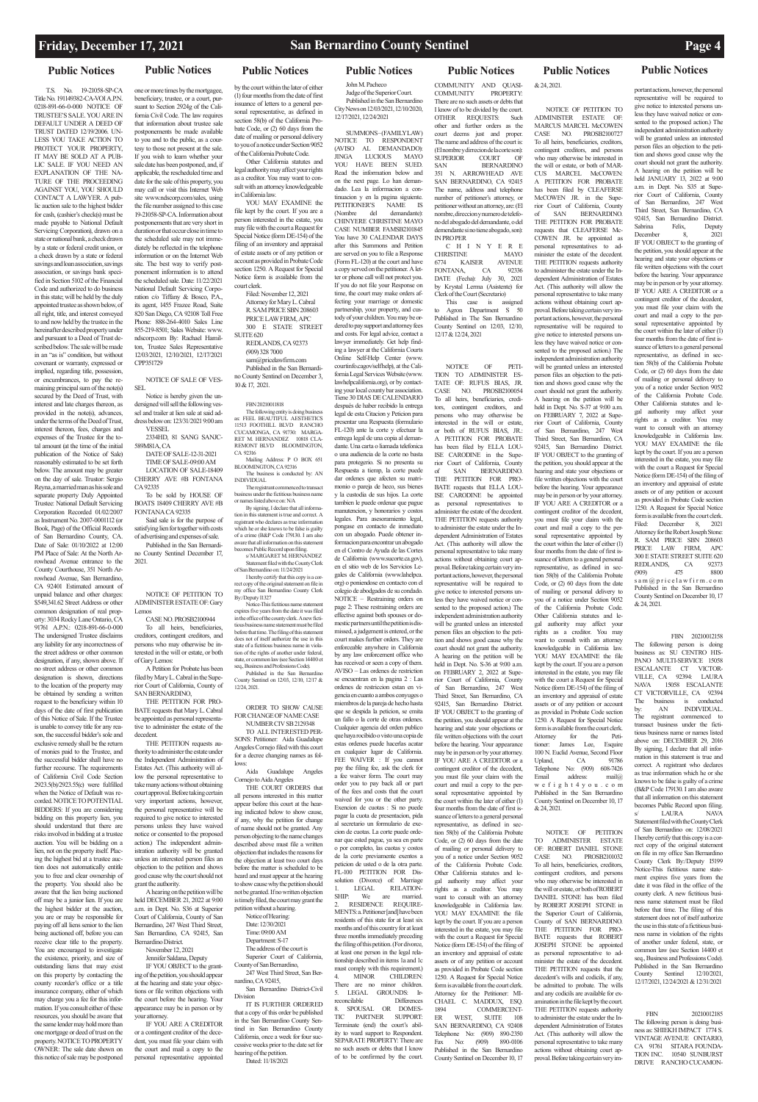# **Friday, December 17, 2021 San Bernardino County Sentinel Page 4**

### **Public Notices Public Notices Public Notices Public Notices Public Notices Public Notices Public Notices**  $& 24, 2021$

T.S. No. 19-21058-SP-CA Title No. 191149382-CA-VOI A.P.N. 0218-891-66-0-000 NOTICE OF TRUSTEE'S SALE. YOU ARE IN DEFAULT UNDER A DEED OF TRUST DATED 12/19/2006. UN-LESS YOU TAKE ACTION TO PROTECT YOUR PROPERTY IT MAY BE SOLD AT A PUB-LIC SALE. IF YOU NEED AN EXPLANATION OF THE NA-TURE OF THE PROCEEDING AGAINST YOU, YOU SHOULD CONTACT A LAWYER. A public auction sale to the highest bidder for cash, (cashier's check(s) must be made payable to National Default Servicing Corporation), drawn on a state or national bank, a check drawn by a state or federal credit union, or a check drawn by a state or federal savings and loan association, savings association, or savings bank specified in Section 5102 of the Financial Code and authorized to do business in this state; will be held by the duly appointed trustee as shown below, of all right, title, and interest conveyed to and now held by the trustee in the hereinafter described property under and pursuant to a Deed of Trust described below. The sale will be made in an "as is" condition, but without covenant or warranty, expressed or implied, regarding title, possession, or encumbrances, to pay the remaining principal sum of the note(s) secured by the Deed of Trust, with interest and late charges thereon, as provided in the note(s), advances, under the terms of the Deed of Trust, interest thereon, fees, charges and expenses of the Trustee for the total amount (at the time of the initial publication of the Notice of Sale) reasonably estimated to be set forth below. The amount may be greater on the day of sale. Trustor: Sergio Reyna, a married man as his sole and separate property Duly Appointed Trustee: National Default Servicing Corporation Recorded 01/02/2007 as Instrument No. 2007-0001112 (or Book, Page) of the Official Records of San Bernardino County, CA. Date of Sale: 01/10/2022 at 12:00 PM Place of Sale: At the North Arrowhead Avenue entrance to the County Courthouse, 351 North Arrowhead Avenue, San Bernardino, CA 92401 Estimated amount of unpaid balance and other charges: \$549,341.62 Street Address or other common designation of real property: 3034 Rocky Lane Ontario, CA 91761 A.P.N.: 0218-891-66-0-000 The undersigned Trustee disclaims any liability for any incorrectness of the street address or other common designation, if any, shown above. If no street address or other common designation is shown, directions to the location of the property may be obtained by sending a written request to the beneficiary within 10 days of the date of first publication of this Notice of Sale. If the Trustee is unable to convey title for any reason, the successful bidder's sole and exclusive remedy shall be the return of monies paid to the Trustee, and the successful bidder shall have no further recourse. The requirements of California Civil Code Section 2923.5(b)/2923.55(c) were fulfilled when the Notice of Default was recorded. NOTICE TO POTENTIAL BIDDERS: If you are considering bidding on this property lien, you should understand that there are risks involved in bidding at a trustee auction. You will be bidding on a

lien, not on the property itself. Plac-

THE PETITION requests authority to administer the estate under the Independent Administration of Estates Act. (This authority will allow the personal representative to take many actions without obtaining court approval. Before taking certain very important actions, however, the personal representative will be required to give notice to interested persons unless they have waived notice or consented to the proposed action.) The independent administration authority will be granted unless an interested person files an

ing the highest bid at a trustee auction does not automatically entitle you to free and clear ownership of the property. You should also be aware that the lien being auctioned off may be a junior lien. If you are the highest bidder at the auction, you are or may be responsible for paying off all liens senior to the lien being auctioned off, before you can receive clear title to the property. You are encouraged to investigate the existence, priority, and size of outstanding liens that may exist on this property by contacting the county recorder's office or a title insurance company, either of which may charge you a fee for this information. If you consult either of these resources, you should be aware that the same lender may hold more than one mortgage or deed of trust on the property. NOTICE TO PROPERTY OWNER: The sale date shown on this notice of sale may be postponed

YOU MAY EXAMINE the file kept by the court. If you are a person interested in the estate, you may file with the court a Request for Special Notice (form DE-154) of the filing of an inventory and appraisal of estate assets or of any petition or account as provided in Probate Code section 1250. A Request for Special Notice form is available from the court clerk.

FBN 20210011818 The following entity is doing business as: FEEL BEAUTIFUL AESTHETICS 11513 FOOTHILL BLVD RANCHO CUCAMONGA, CA 91730: MARGA-RET M. HERNANDEZ 10818 CLA-REMONT BLVD BLOOMINGTON.

CA 92316 Mailing Address: P O BOX 651 BLOOMINGTON CA 92316 The business is conducted by: AN

one or more times by the mortgagee, beneficiary, trustee, or a court, pursuant to Section 2924g of the California Civil Code. The law requires that information about trustee sale postponements be made available to you and to the public, as a courtesy to those not present at the sale. If you wish to learn whether your sale date has been postponed, and, if applicable, the rescheduled time and date for the sale of this property, you may call or visit this Internet Web site www.ndscorp.com/sales, using the file number assigned to this case 19-21058-SP-CA. Information about postponements that are very short in duration or that occur close in time to the scheduled sale may not immediately be reflected in the telephone information or on the Internet Web site. The best way to verify postponement information is to attend the scheduled sale. Date: 11/22/2021 National Default Servicing Corporation c/o Tiffany & Bosco, P.A., its agent, 1455 Frazee Road, Suite 820 San Diego, CA 92108 Toll Free

Phone: 888-264-4010 Sales Line 855-219-8501; Sales Website: www. ndscorp.com By: Rachael Hamil-

ton, Trustee Sales Representative 12/03/2021, 12/10/2021, 12/17/2021 CPP351729 NOTICE OF SALE OF VES-

SEL Notice is hereby given the undersigned will sell the following vessel and trailer at lien sale at said address below on: 123/31/2021 9:00 am VESSEL

2334HD, 81 SANG SANJC-589M81A, CA

DATE OF SALE-12-31-2021 TIME OF SALE-09:00 AM LOCATION OF SALE-18409

CHERRY AVE #B FONTANA CA 92335 To be sold by HOUSE OF

BOATS 18409 CHERRY AVE #B FONTANA CA 92335

Said sale is for the purpose of satisfying lien for together with costs of advertising and expenses of sale. Published in the San Bernardi-

no County Sentinel December 17, 2021.

NOTICE OF PETITION TO ADMINISTER ESTATE OF: Gary

Lemos CASE NO. PROSB2100944 To all heirs, beneficiaries, creditors, contingent creditors, and

persons who may otherwise be interested in the will or estate, or both of Gary Lemos: A Petition for Probate has been

filed by Mary L. Cabral in the Superior Court of California, County of SAN BERNARDINO, THE PETITION FOR PRO-

BATE requests that Mary L. Cabral be appointed as personal representative to administer the estate of the decedent.

objection to the petition and shows good cause why the court should not grant the authority.

A hearing on the petition will be held DECEMBER 21, 2022 at 9:00 a.m. in Dept. No. S36 at Superior Court of California, County of San Bernardino, 247 West Third Street, San Bernardino, CA 92415, San Bernardino District. November 12, 2021

Jennifer Saldana, Deputy IF YOU OBJECT to the granting of the petition, you should appear at the hearing and state your objections or file written objections with the court before the hearing. Your appearance may be in person or by your attorney.

IF YOU ARE A CREDITOR or a contingent creditor of the decedent, you must file your claim with the court and mail a copy to the personal representative appointed

by the court within the later of either (1) four months from the date of first issuance of letters to a general personal representative, as defined in section 58(b) of the California Probate Code, or (2) 60 days from the date of mailing or personal delivery to you of a notice under Section 9052

of the California Probate Code. Other California statutes and legal authority may affect your rights as a creditor. You may want to consult with an attorney knowledgeable in California law.

Filed: November 12, 2021 Attorney for Mary L. Cabral R. SAM PRICE SBN 208603 PRICE LAW FIRM, APC 300 E STATE STREET SUITE 620

REDLANDS, CA 92373 (909) 328 7000 sam@pricelawfirm.com Published in the San Bernardino County Sentinel on December 3, 10 & 17, 2021.

INDIVIDUAL The registrant commenced to transact business under the fictitious business name

or names listed above on: N/A By signing, I declare that all information in this statement is true and correct. A registrant who declares as true information which he or she knows to be false is guilty of a crime (B&P Code 179130. I am also aware that all information on this statement becomes Public Record upon filing.

s/ MARGARET M. HERNANDEZ Statement filed with the County Clerk of San Bernardino on: 11/24/2021 I hereby certify that this copy is a correct copy of the original statement on file in ADMINISTER ESTATE OF: MARCUS MARCEL McCOWEN

my office San Bernardino County Clerk By:/Deputy I1327 Notice-This fictitious name statement

expires five years from the date it was filed in the office of the county clerk. A new fictitious business name statement must be filed before that time. The filing of this statement does not of itself authorize the use in this state of a fictitious business name in violation of the rights of another under federal, state, or common law (see Section 14400 et

seq., Business and Professions Code). Published in the San Bernardino County Sentinel on 12/03, 12/10, 12/17 & 12/24, 2021.

> ORDER TO SHOW CAUSE FOR CHANGE OF NAME CASE NUMBER CIV SB 2129348 TO ALL INTERESTED PER-SONS: Petitioner: Aida Guadalupe

Angeles Cornejo filed with this court for a decree changing names as follows: Aida Guadalupe Angeles

Cornejo to Aida Angeles THE COURT ORDERS that all persons interested in this matter appear before this court at the hearing indicated below to show cause, if any, why the petition for change of name should not be granted. Any person objecting to the name changes

described above must file a written objection that includes the reasons for the objection at least two court days before the matter is scheduled to be

heard and must appear at the hearing to show cause why the petition should not be granted. If no written objection is timely filed, the court may grant the petition without a hearing. Notice of Hearing: Date: 12/30/2021 Time: 09:00 AM Department: S-17 The address of the court is Superior Court of California, County of San Bernardino, 247 West Third Street, San Bernardino, CA 92415, San Bernardino District-Civil Division IT IS FURTHER ORDERED that a copy of this order be published in the San Bernardino County Sentinel in San Bernardino County California, once a week for four successive weeks prior to the date set for

hearing of the petition. Dated: 11/18/2021

### John M. Pacheco Judge of the Superior Court.

Published in the San Bernardino City News on 12/03/2021, 12/10/2020, 12/17/2021, 12/24/2021

SUMMONS-(FAMILY LAW)

NOTICE TO RESPONDENT (AVISO AL DEMANDADO): JINGA LUCIOUS MAYO YOU HAVE BEEN SUED. Read the information below and on the next page. Lo han demandado. Lea la informacion a continuacion y en la pagina siguiente. PETITIONER'S NAME IS<br>(Nombre del demandante): demandante): CHINYERE CHRISTINE MAYO CASE NUMBER FAMSB2101845 You have 30 CALENDAR DAYS after this Summons and Petition are served on you to file a Response (Form FL-120) at the court and have a copy served on the petitioner. A letter or phone call will not protect you. If you do not file your Response on time, the court may make orders affecting your marriage or domestic partnership, your property, and custody of your children. You may be ordered to pay support and attorney fees and costs. For legal advice, contact a lawyer immediately. Get help finding a lawyer at the California Courts Online Self-Help Center (www. courtinfo.cagov/selfhelp), at the California Legal Services Website (www. lawhelpcalifornia.org), or by contacting your local county bar association. Tiene 30 DIAS DE CALENDARIO después de haber recibido la entrega legal de esta Citacion y Peticion para presentar una Respuesta (formulario FL-120) ante la corte y efectuar la entrega legal de una copia al demandante. Una carta o liamada telefonica o una audiencia de la corte no basta para protegerio. Si no presenta su Respuesta a tiemp, la corte puede dar ordenes que afecten su matrimonio o pareja de heco, sus bienes y la custodia de sus hijos. La corte tambien le puede ordenar que pague manutencion, y honorarios y costos legales. Para asesoramiento legal, pongase en contacto de inmediato con un abogado. Puede obtener informacion para encontrar un abogado en el Contro de Ayuda de las Cortes de California (www.sucorte.ca.gov), en el sitio web de los Servicios Legales de California (www.lahelpca. org) o poniendose en contacto con el colegio de abodgados de su condado. NOTICE – Restraining orders on page 2: These restraining orders are effective against both spouses or domestic partners until the petition is dismissed, a judgement is entered, or the court makes further orders. They are enforceable anywhere in California by any law enforcement office who has received or seen a copy of them. AVISO – Las ordenes de restriction se encuentran en la pagina 2 : Las ordenes de restriccion estan en vigencia en cuanto a ambos conyuges o miembros de la pareja de hecho hasta que se despida la peticion, se emita un fallo o la corte de otras ordenes. Cualquier agencia del orden publico que haya rocibido o visto una copia de estas ordenes puede hacerlas acatar en cualquier lugar de California. FEE WAIVER : If you cannot pay the filing fee, ask the clerk for a fee waiver form. The court may order you to pay back all or part of the fees and costs that the court waived for you or the other party. Exencion de cuotas : Si no puede pagar la cuota de presentacion, pida al secretario un formulario de execion de cuotas. La corte puede orde-

nar que ested pague, ya sea en parte o por completo, las cuotas y costos de la corte previamente exentos a

peticion de usted o de la otra parte. FL-100 PETITION FOR Dissolution (Divorce) of: Marriage 1. LEGAL RELATION-<br>SHIP: We are married. are married. 2. RESIDENCE REQUIRE-MENTS: a. Petitioner [and] have been residents of this state for at least six months and of this country for at least three months immediately preceding the filing of this petition. (For divorce, at least one person in the legal relationship described in items 1a and 1c must comply with this requirement.) MINOR CHILDREN: There are no minor children. 5. LEGAL GROUNDS: In-<br>reconcilable Differences reconcilable Differences 8. SPOUSAL OR DOMES-TIC PARTNER SUPPORT: Terminate (end) the court's ability to ward support to Respondent. SEPARATE PROPERTY: There are no such assets or debts that I know of to be confirmed by the court.

COMMUNITY AND QUASI-COMMUNITY PROPERTY: There are no such assets or debts that I know of to be divided by the court.<br>
OTHER REOUESTS: Such OTHER REQUESTS: other and further orders as the court deems just and proper. The name and address of the court is: (El nombre y dirrecion de la corte son): SUPERIOR<br>SAN **BERNARDINO** 351 N. ARROWHEAD AVE SAN BERNARDINO, CA 92415 The name, address and telephone number of petitioner's attorney, or petitioner without an attorney, are: (El nombre, direccion y numero de telefono del abogado del demandante, o del demendante si no tiene abogado, son): IN PRO PER C H I N Y E R E

CHRISTINE MAYO 6774 KAISER AVENUE<br>FONTANA, CA 92336 FONTANA, DATE (Fecha): July 30, 2021 by Krystal Lerma (Asistente) for Clerk of the Court (Secretario)

This case is assigned to Agron Department S 50 Published in The San Bernardino County Sentinel on 12/03, 12/10, 12/17 & 12/24, 2021

NOTICE OF PETI-TION TO ADMINISTER ES-TATE OF: RUFUS BIAS, JR.<br>CASE NO. PROSB2100054 NO. PROSB2100054 To all heirs, beneficiaries, creditors, contingent creditors, and persons who may otherwise be interested in the will or estate, or both of RUFUS BIAS, JR.: A PETITION FOR PROBATE has been filed by ELLA LOU-ISE CARODINE in the Superior Court of California, County of SAN BERNARDINO. THE PETITION FOR PRO-BATE requests that ELLA LOU-ISE CARODINE be appointed as personal representatives to administer the estate of the decedent. THE PETITION requests authority to administer the estate under the Independent Administration of Estates Act. (This authority will allow the personal representative to take many actions without obtaining court approval. Before taking certain very important actions, however, the personal representative will be required to give notice to interested persons unless they have waived notice or consented to the proposed action.) The independent administration authority will be granted unless an interested person files an objection to the petition and shows good cause why the court should not grant the authority. A hearing on the petition will be held in Dept. No. S-36 at 9:00 a.m. on FEBRUARY 2, 2022 at Superior Court of California, County of San Bernardino, 247 West Third Street, San Bernardino, CA 92415, San Bernardino District. IF YOU OBJECT to the granting of the petition, you should appear at the hearing and state your objections or file written objections with the court before the hearing. Your appearance may be in person or by your attorney. IF YOU ARE A CREDITOR or a contingent creditor of the decedent. you must file your claim with the court and mail a copy to the personal representative appointed by the court within the later of either (1) four months from the date of first issuance of letters to a general personal representative, as defined in section 58(b) of the California Probate Code, or (2) 60 days from the date

you of a notice under Section 9052

of the California Probate Code. Other California statutes and legal authority may affect your rights as a creditor. You may want to consult with an attorney knowledgeable in California law. YOU MAY EXAMINE the file kept by the court. If you are a person interested in the estate, you may file with the court a Request for Special Notice (form DE-154) of the filing of an inventory and appraisal of estate assets or of any petition or account as provided in Probate Code section 1250. A Request for Special Notice form is available from the court clerk. Attorney for the Petitioner: MI-CHAEL C. MADDUX, ESQ.<br>1894 COMMERCENT-COMMERCENT-ER WEST, SUITE 108 SAN BERNARDINO, CA 92408 Telephone No: (909) 890-2350 No:  $(909)$  890-0106 Published in the San Bernardino County Sentinel on December 10, 17

# NOTICE OF PETITION TO

CASE NO. PROSB2100727 To all heirs, beneficiaries, creditors, contingent creditors, and persons who may otherwise be interested in the will or estate, or both of MAR-CUS MARCEL McCOWEN: A PETITION FOR PROBATE has been filed by CLEAFERSE McCOWEN JR. in the Superior Court of California, County of SAN BERNARDINO. THE PETITION FOR PROBATE requests that CLEAFERSE Mc-COWEN JR. be appointed as personal representatives to administer the estate of the decedent. THE PETITION requests authority to administer the estate under the Independent Administration of Estates Act. (This authority will allow the personal representative to take many actions without obtaining court approval. Before taking certain very important actions, however, the personal representative will be required to give notice to interested persons unless they have waived notice or consented to the proposed action.) The independent administration authority will be granted unless an interested person files an objection to the petition and shows good cause why the court should not grant the authority. A hearing on the petition will be held in Dept. No. S-37 at 9:00 a.m. on FEBRUARY 7, 2022 at Superior Court of California, County of San Bernardino, 247 West Third Street, San Bernardino, CA 92415, San Bernardino District. IF YOU OBJECT to the granting of the petition, you should appear at the hearing and state your objections or file written objections with the court before the hearing. Your appearance may be in person or by your attorney. IF YOU ARE A CREDITOR or a contingent creditor of the decedent, you must file your claim with the court and mail a copy to the personal representative appointed by the court within the later of either (1) four months from the date of first issuance of letters to a general personal representative, as defined in section 58(b) of the California Probate Code, or (2) 60 days from the date of mailing or personal delivery to you of a notice under Section 9052 of the California Probate Code. Other California statutes and legal authority may affect your rights as a creditor. You may want to consult with an attorney knowledgeable in California law. YOU MAY EXAMINE the file kept by the court. If you are a person interested in the estate, you may file with the court a Request for Special Notice (form DE-154) of the filing of an inventory and appraisal of estate assets or of any petition or account as provided in Probate Code section 1250. A Request for Special Notice form is available from the court clerk. Attorney for the Petitioner: James Lee, Esquire 100 N. Euclid Avenue, Second Floor<br>Upland, CA 91786 Upland, Telephone No:  $(909)$  608-7426<br>Email address: mail@ address:  $mail@$ w e f i g h t 4 y o u . c o m Published in the San Bernardino County Sentinel on December 10, 17

of mailing or personal delivery to NOTICE OF PETITION TO ADMINISTER ESTATE OF: ROBERT DANIEL STONE CASE NO. PROSB2101032 To all heirs, beneficiaries, creditors, contingent creditors, and persons who may otherwise be interested in the will or estate, or both of ROBERT DANIEL STONE has been filed by ROBERT JOSEPH STONE in the Superior Court of California, County of SAN BERNARDINO. THE PETITION FOR PRO-BATE requests that ROBERT JOSEPH STONE be appointed as personal representative to administer the estate of the decedent. THE PETITION requests that the decedent's wills and codicils, if any, be admitted to probate. The wills and any codicils are available for examination in the file kept by the court. THE PETITION requests authority to administer the estate under the Independent Administration of Estates Act. (This authority will allow the personal representative to take many actions without obtaining court approval. Before taking certain very im-

 $& 24, 2021$ 

portant actions, however, the personal representative will be required to give notice to interested persons unless they have waived notice or consented to the proposed action.) The independent administration authority will be granted unless an interested person files an objection to the petition and shows good cause why the court should not grant the authority. A hearing on the petition will be held JANUARY 13, 2022 at 9:00 a.m. in Dept. No. S35 at Superior Court of California, County of San Bernardino, 247 West Third Street, San Bernardino, CA 92415, San Bernardino District.<br>Sabrina Felix, Deputy Felix, Deputy December 8. IF YOU OBJECT to the granting of the petition, you should appear at the hearing and state your objections or file written objections with the court before the hearing. Your appearance may be in person or by your attorney. IF YOU ARE A CREDITOR or a contingent creditor of the decedent, you must file your claim with the court and mail a copy to the personal representative appointed by the court within the later of either (1) four months from the date of first issuance of letters to a general personal representative, as defined in section 58(b) of the California Probate Code, or (2) 60 days from the date of mailing or personal delivery to you of a notice under Section 9052 of the California Probate Code. Other California statutes and legal authority may affect your rights as a creditor. You may want to consult with an attorney knowledgeable in California law. YOU MAY EXAMINE the file kept by the court. If you are a person interested in the estate, you may file with the court a Request for Special Notice (form DE-154) of the filing of an inventory and appraisal of estate assets or of any petition or account as provided in Probate Code section 1250. A Request for Special Notice form is available from the court clerk. Filed: December 8, 2021 Attorney for the Robert Joseph Stone: R. SAM PRICE SBN 208603 PRICE LAW FIRM, APC 300 E STATE STREET SUITE 620 REDLANDS, CA 92373 (909) 475 8800 s a m @ p r i c e l a w f i r m . c o m Published in the San Bernardino County Sentinel on December 10, 17 & 24, 2021.

### FBN 20210012158

The following person is doing business as: SU CENTRO HIS-PANO MULTI-SERVICE 15058 ESCALANTE CT VICTOR-VILLE, CA 92394: LAURA NAVA 15058 ESCALANTE CT VICTORVILLE, CA 92394 The business is conducted<br>by: AN INDIVIDUAL. by: AN INDIVIDUAL. The registrant commenced to transact business under the fictitious business name or names listed above on: DECEMBER 29, 2016 By signing, I declare that all information in this statement is true and correct. A registrant who declares as true information which he or she knows to be false is guilty of a crime (B&P Code 179130. I am also aware that all information on this statement becomes Public Record upon filing. s/ LAURA NAVA Statement filed with the County Clerk of San Bernardino on: 12/08/2021 I hereby certify that this copy is a correct copy of the original statement on file in my office San Bernardino County Clerk By:/Deputy I5199 Notice-This fictitious name statement expires five years from the date it was filed in the office of the county clerk. A new fictitious business name statement must be filed before that time. The filing of this statement does not of itself authorize the use in this state of a fictitious business name in violation of the rights of another under federal, state, or common law (see Section 14400 et seq., Business and Professions Code). Published in the San Bernardino County Sentinel 12/10/2021, 12/17/2021, 12/24/2021 & 12/31/2021

### FBN 20210012185

The following person is doing business as: SHIEKH IMPACT 1774 S. VINTAGE AVENUE ONTARIO, CA 91761 SITARA FOUNDA-TION INC. 10540 SUNBURST DRIVE RANCHO CUCAMON-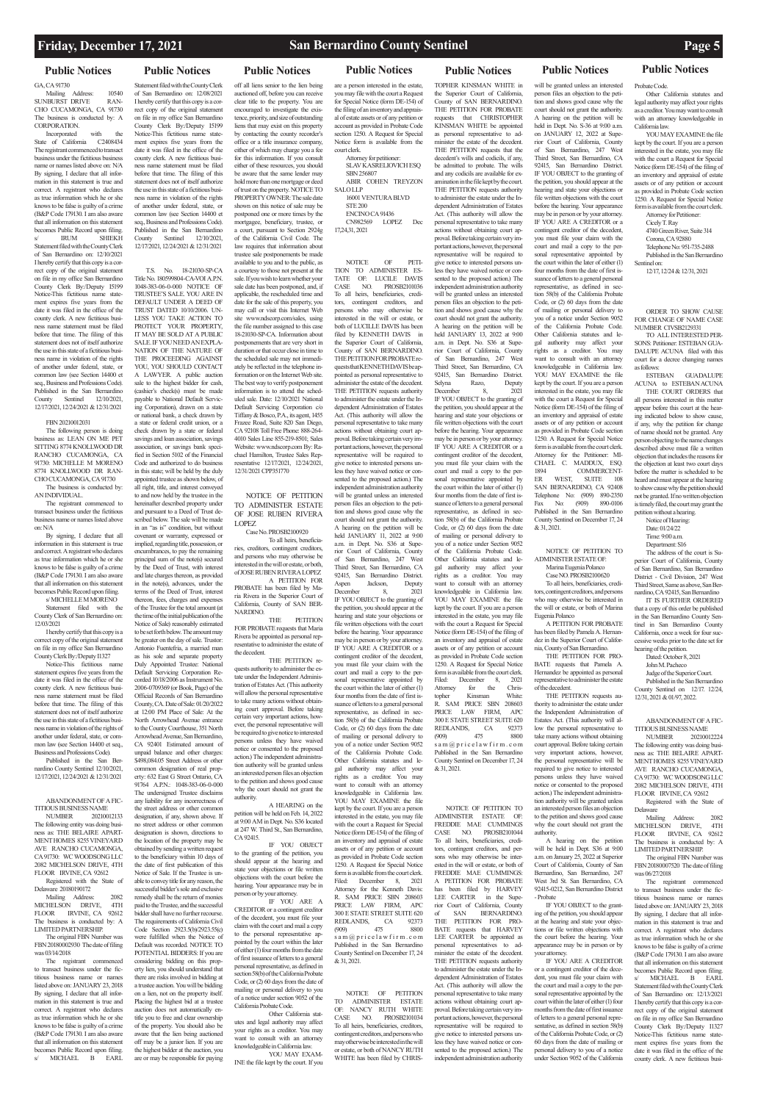## **Friday, December 17, 2021 San Bernardino County Sentinel Page 5**

Mailing Address: 10540 SUNBURST DRIVE RAN-CHO CUCAMONGA, CA 91730 The business is conducted by: A CORPORATION.

GA, CA 91730

The following person is doing business as: LEAN ON ME PET SITTING 8774 KNOLLWOOD DR RANCHO CUCAMONGA, CA 91730: MICHELLE M MORENO 8774 KNOLLWOOD DR RAN-CHO CUCAMONGA, CA 91730 The business is conducted by

Incorporated with the State of California C2408434 The registrant commenced to transact business under the fictitious business name or names listed above on: N/A By signing, I declare that all information in this statement is true and correct. A registrant who declares as true information which he or she knows to be false is guilty of a crime (B&P Code 179130. I am also aware that all information on this statement becomes Public Record upon filing.<br>
SHIEKH SHIEKH Statement filed with the County Clerk of San Bernardino on: 12/10/2021 I hereby certify that this copy is a correct copy of the original statement on file in my office San Bernardino County Clerk By:/Deputy I5199 Notice-This fictitious name statement expires five years from the date it was filed in the office of the county clerk. A new fictitious business name statement must be filed before that time. The filing of this statement does not of itself authorize the use in this state of a fictitious business name in violation of the rights of another under federal, state, or common law (see Section 14400 et seq., Business and Professions Code). Published in the San Bernardino<br>County Sentinel 12/10/2021, Sentinel 12/10/2021. 12/17/2021, 12/24/2021 & 12/31/2021

FBN 20210012031

AN INDIVIDUAL.

The registrant commenced to transact business under the fictitious business name or names listed above on: N/A

By signing, I declare that all information in this statement is true and correct. A registrant who declares as true information which he or she knows to be false is guilty of a crime (B&P Code 179130. I am also aware that all information on this statement becomes Public Record upon filing.

s/ MICHELLE M MORENO Statement filed with the

County Clerk of San Bernardino on: 12/03/2021 I hereby certify that this copy is a

correct copy of the original statement on file in my office San Bernardino County Clerk By:/Deputy I1327

Notice-This fictitious name statement expires five years from the date it was filed in the office of the county clerk. A new fictitious business name statement must be filed before that time. The filing of this statement does not of itself authorize the use in this state of a fictitious business name in violation of the rights of another under federal, state, or common law (see Section 14400 et seq., Business and Professions Code).

Published in the San Bernardino County Sentinel 12/10/2021, 12/17/2021, 12/24/2021 & 12/31/2021

### ABANDONMENT OF A FIC-TITIOUS BUSINESS NAME

NUMBER 20210012133 The following entity was doing business as: THE BELAIRE APART-MENT HOMES 8255 VINEYARD AVE RANCHO CUCAMONGA, CA 91730: WC WOODSONG LLC

2082 MICHELSON DRIVE, 4TH FLOOR IRVINE, CA 92612

Registered with the State of Delaware 20180190172

Mailing Address: 2082 MICHELSON DRIVE, 4TH FLOOR IRVINE, CA 92612 The business is conducted by: A LIMITED PARTNERSHIP.

The original FBN Number was FBN 20180002930 The date of filing was 03/14/2018

The registrant commenced to transact business under the fictitious business name or names listed above on: JANUARY 23, 2018 By signing, I declare that all information in this statement is true and correct. A registrant who declares as true information which he or she knows to be false is guilty of a crime (B&P Code 179130. I am also aware that all information on this statement becomes Public Record upon filing. s/ MICHAEL B EARL Statement filed with the County Clerk of San Bernardino on: 12/08/2021 I hereby certify that this copy is a correct copy of the original statement on file in my office San Bernardino County Clerk By:/Deputy I5199 Notice-This fictitious name statement expires five years from the date it was filed in the office of the county clerk. A new fictitious business name statement must be filed before that time. The filing of this statement does not of itself authorize the use in this state of a fictitious business name in violation of the rights of another under federal, state, or common law (see Section 14400 et seq., Business and Professions Code). Published in the San Bernardino<br>County Sentinel 12/10/2021, Sentinel 12/10/2021, 12/17/2021, 12/24/2021 & 12/31/2021

**Public Notices Public Notices Public Notices Public Notices Public Notices Public Notices Public Notices** off all liens senior to the lien being auctioned off, before you can receive clear title to the property. You are encouraged to investigate the existence, priority, and size of outstanding liens that may exist on this property by contacting the county recorder's office or a title insurance company, either of which may charge you a fee for this information. If you consult either of these resources, you should be aware that the same lender may hold more than one mortgage or deed of trust on the property. NOTICE TO PROPERTY OWNER: The sale date shown on this notice of sale may be postponed one or more times by the mortgagee, beneficiary, trustee, or a court, pursuant to Section 2924g of the California Civil Code. The law requires that information about trustee sale postponements be made available to you and to the public, as a courtesy to those not present at the sale. If you wish to learn whether your sale date has been postponed, and, if applicable, the rescheduled time and date for the sale of this property, you may call or visit this Internet Web site www.ndscorp.com/sales, using the file number assigned to this case 18-21030-SP-CA. Information about postponements that are very short in duration or that occur close in time to the scheduled sale may not immediately be reflected in the telephone information or on the Internet Web site. The best way to verify postponement information is to attend the scheduled sale. Date: 12/10/2021 National Default Servicing Corporation c/o Tiffany & Bosco, P.A., its agent, 1455 Frazee Road, Suite 820 San Diego, CA 92108 Toll Free Phone: 888-264- 4010 Sales Line 855-219-8501; Sales Website: www.ndscorp.com By: Rachael Hamilton, Trustee Sales Rep-

T.S. No. 18-21030-SP-CA Title No. 180599804-CA-VOI A.P.N. 1048-383-06-0-000 NOTICE OF TRUSTEE'S SALE. YOU ARE IN DEFAULT UNDER A DEED OF TRUST DATED 10/10/2006. UN-LESS YOU TAKE ACTION TO PROTECT YOUR PROPERTY, IT MAY BE SOLD AT A PUBLIC SALE. IF YOU NEED AN EXPLA-NATION OF THE NATURE OF THE PROCEEDING AGAINST YOU, YOU SHOULD CONTACT A LAWYER. A public auction sale to the highest bidder for cash, (cashier's check(s) must be made payable to National Default Servicing Corporation), drawn on a state or national bank, a check drawn by a state or federal credit union, or a check drawn by a state or federal savings and loan association, savings association, or savings bank specified in Section 5102 of the Financial Code and authorized to do business in this state; will be held by the duly appointed trustee as shown below, of all right, title, and interest conveyed to and now held by the trustee in the hereinafter described property under and pursuant to a Deed of Trust described below. The sale will be made in an "as is" condition, but without covenant or warranty, expressed or implied, regarding title, possession, or encumbrances, to pay the remaining principal sum of the note(s) secured by the Deed of Trust, with interest and late charges thereon, as provided in the note(s), advances, under the terms of the Deed of Trust, interest thereon, fees, charges and expenses of the Trustee for the total amount (at the time of the initial publication of the Notice of Sale) reasonably estimated to be set forth below. The amount may be greater on the day of sale. Trustor: Antonio Fuentefria, a married man as his sole and separate property Duly Appointed Trustee: National Default Servicing Corporation Recorded 10/18/2006 as Instrument No. 2006-0709369 (or Book, Page) of the Official Records of San Bernardino County, CA. Date of Sale: 01/20/2022 at 12:00 PM Place of Sale: At the North Arrowhead Avenue entrance to the County Courthouse, 351 North Arrowhead Avenue, San Bernardino, CA 92401 Estimated amount of unpaid balance and other charges: \$498,084.05 Street Address or other common designation of real property: 632 East G Street Ontario, CA 91764 A.P.N.: 1048-383-06-0-000 The undersigned Trustee disclaims any liability for any incorrectness of the street address or other common designation, if any, shown above. If no street address or other common designation is shown, directions to

YOU MAY EXAM-INE the file kept by the court. If you

the location of the property may be obtained by sending a written request

to the beneficiary within 10 days of the date of first publication of this Notice of Sale. If the Trustee is unable to convey title for any reason, the successful bidder's sole and exclusive remedy shall be the return of monies paid to the Trustee, and the successful bidder shall have no further recourse. The requirements of California Civil Code Section 2923.5(b)/2923.55(c) were fulfilled when the Notice of Default was recorded. NOTICE TO POTENTIAL BIDDERS: If you are considering bidding on this property lien, you should understand that there are risks involved in bidding at a trustee auction. You will be bidding on a lien, not on the property itself. Placing the highest bid at a trustee auction does not automatically entitle you to free and clear ownership of the property. You should also be aware that the lien being auctioned off may be a junior lien. If you are the highest bidder at the auction, you are or may be responsible for paying

Filed: December 8, 2021 Attorney for the Kenneth Davis: R. SAM PRICE SBN 208603 PRICE LAW FIRM, APC 300 E STATE STREET SUITE 620 REDLANDS, CA 92373 (909) 475 8800 s a m @ p r i c e l a w f i r m . c o m Published in the San Bernardino County Sentinel on December 17, 24 & 31, 2021.

will be granted unless an interested person files an objection to the petition and shows good cause why the court should not grant the authority. A hearing on the petition will be held in Dept. No. S-36 at 9:00 a.m. on JANUARY 12, 2022 at Superior Court of California, County of San Bernardino, 247 West Third Street, San Bernardino, CA 92415, San Bernardino District. IF YOU OBJECT to the granting of the petition, you should appear at the hearing and state your objections or file written objections with the court before the hearing. Your appearance may be in person or by your attorney. IF YOU ARE A CREDITOR or a contingent creditor of the decedent, you must file your claim with the court and mail a copy to the personal representative appointed by the court within the later of either (1) four months from the date of first issuance of letters to a general personal representative, as defined in section 58(b) of the California Probate Code, or (2) 60 days from the date of mailing or personal delivery to you of a notice under Section 9052 of the California Probate Code. Other California statutes and legal authority may affect your rights as a creditor. You may want to consult with an attorney knowledgeable in California law. YOU MAY EXAMINE the file kept by the court. If you are a person interested in the estate, you may file with the court a Request for Special Notice (form DE-154) of the filing of an inventory and appraisal of estate assets or of any petition or account as provided in Probate Code section 1250. A Request for Special Notice form is available from the court clerk. Attorney for the Petitioner: MI-CHAEL C. MADDUX, ESQ. 1894 COMMERCENT-<br>FR WEST SUITE 108 SUITE 108 SAN BERNARDINO, CA 92408 Telephone No: (909) 890-2350 Fax No: (909) 890-0106 Published in the San Bernardino County Sentinel on December 17, 24  $& 31, 2021$ 

resentative 12/17/2021, 12/24/2021, 12/31/2021 CPP351770

NOTICE OF PETITION TO ADMINISTER ESTATE OF JOSE RUBEN RIVERA LOPEZ

Case No. PROSB2100920 To all heirs, beneficiaries, creditors, contingent creditors,

and persons who may otherwise be interested in the will or estate, or both, of JOSE RUBEN RIVERA LOPEZ A PETITION FOR PROBATE has been filed by Maria Rivera in the Superior Court of California, County of SAN BER-

NARDINO. THE PETITION FOR PROBATE requests that Maria Rivera be appointed as personal representative to administer the estate of the decedent.

THE PETITION requests authority to administer the estate under the Independent Administration of Estates Act. (This authority will allow the personal representative to take many actions without obtaining court approval. Before taking certain very important actions, however, the personal representative will be required to give notice to interested persons unless they have waived notice or consented to the proposed action.) The independent administration authority will be granted unless an interested person files an objection to the petition and shows good cause why the court should not grant the authority.

A HEARING on the petition will be held on Feb. 14, 2022 at 9:00 AM in Dept. No. S36 located at 247 W. Third St., San Bernardino, CA 92415.

are a person interested in the estate, you may file with the court a Request for Special Notice (form DE-154) of the filing of an inventory and appraisal of estate assets or of any petition or account as provided in Probate Code section 1250. A Request for Special Notice form is available from the court clerk. Attorney for petitioner:

SLAV KASRELIOVICH ESQ SBN 256807 ABIR COHEN TREYZON SALO LLP 16001 VENTURA BLVD

STE 200

ENCINO CA 91436 CN982569 LOPEZ Dec 17,24,31, 2021

> Mailing Address: 2082<br>THELSON DRIVE 4TH MICHELSON DRIVE. FLOOR IRVINE, CA 92612 The business is conducted by: A

LIMITED PARTNERSHIP. The original FBN Num

FBN 20180007520 The date of filing was 06/27/2018

IF YOU OBJECT to the granting of the petition, you should appear at the hearing and state your objections or file written objections with the court before the hearing. Your appearance may be in person or by your attorney. IF YOU ARE A CREDITOR or a contingent creditor of the decedent, you must file your claim with the court and mail a copy to the personal representative appointed by the court within the later of either (1) four months from the date of first issuance of letters to a general personal representative, as defined in section 58(b) of the California Probate Code, or (2) 60 days from the date of mailing or personal delivery to you of a notice under section 9052 of the California Probate Code. Other California statutes and legal authority may affect your rights as a creditor. You may want to consult with an attorney knowledgeable in California law. an inventory and appraisal of estate assets or of any petition or account as provided in Probate Code section 1250. A Request for Special Notice form is available from the court clerk.

NOTICE OF PETI-TION TO ADMINISTER ES-TATE OF: LUCILE DAVIS<br>CASE NO PROSB2101036 NO. PROSB2101036 To all heirs, beneficiaries, creditors, contingent creditors, and persons who may otherwise be interested in the will or estate, or both of LUCILLE DAVIS has been filed by KENNETH DAVIS in the Superior Court of California, County of SAN BERNARDINO. THE PETITION FOR PROBATE requests that KENNETH DAVIS be appointed as personal representative to administer the estate of the decedent. THE PETITION requests authority to administer the estate under the Independent Administration of Estates Act. (This authority will allow the personal representative to take many actions without obtaining court approval. Before taking certain very important actions, however, the personal representative will be required to give notice to interested persons unless they have waived notice or consented to the proposed action.) The independent administration authority will be granted unless an interested person files an objection to the petition and shows good cause why the court should not grant the authority. A hearing on the petition will be held JANUARY 11, 2022 at 9:00 a.m. in Dept. No. S36 at Superior Court of California, County of San Bernardino, 247 West Third Street, San Bernardino, CA 92415, San Bernardino District. Aspen Jackson, Deputy December 8, 2021 IF YOU OBJECT to the granting of the petition, you should appear at the hearing and state your objections or file written objections with the court before the hearing. Your appearance may be in person or by your attorney. IF YOU ARE A CREDITOR or a contingent creditor of the decedent, you must file your claim with the court and mail a copy to the personal representative appointed by the court within the later of either (1) four months from the date of first issuance of letters to a general personal representative, as defined in section 58(b) of the California Probate Code, or (2) 60 days from the date of mailing or personal delivery to you of a notice under Section 9052 of the California Probate Code. Other California statutes and legal authority may affect your rights as a creditor. You may want to consult with an attorney knowledgeable in California law. YOU MAY EXAMINE the file kept by the court. If you are a person interested in the estate, you may file with the court a Request for Special Notice (form DE-154) of the filing of

the Superior Court of California County of SAN BERNARDINO. THE PETITION FOR PROBATE requests that CHRISTOPHER KINSMAN WHITE be appointed as personal representative to administer the estate of the decedent. THE PETITION requests that the decedent's wills and codicils, if any, be admitted to probate. The wills and any codicils are available for examination in the file kept by the court. THE PETITION requests authority to administer the estate under the Independent Administration of Estates Act. (This authority will allow the personal representative to take many actions without obtaining court approval. Before taking certain very important actions, however, the personal representative will be required to give notice to interested persons unless they have waived notice or consented to the proposed action.) The independent administration authority will be granted unless an interested person files an objection to the petition and shows good cause why the court should not grant the authority. A hearing on the petition will be held JANUARY 13, 2022 at 9:00 a.m. in Dept. No. S36 at Superior Court of California, County of San Bernardino, 247 West Third Street, San Bernardino, CA 92415, San Bernardino District. Selyna Razo, Deputy December 8, 2021 IF YOU OBJECT to the granting of the petition, you should appear at the hearing and state your objections or file written objections with the court before the hearing. Your appearance may be in person or by your attorney. IF YOU ARE A CREDITOR or a contingent creditor of the decedent, you must file your claim with the court and mail a copy to the personal representative appointed by the court within the later of either (1) four months from the date of first issuance of letters to a general personal representative, as defined in section 58(b) of the California Probate Code, or (2) 60 days from the date of mailing or personal delivery to you of a notice under Section 9052 of the California Probate Code. Other California statutes and legal authority may affect your rights as a creditor. You may want to consult with an attorney knowledgeable in California law. YOU MAY EXAMINE the file kept by the court. If you are a person interested in the estate, you may file with the court a Request for Special Notice (form DE-154) of the filing of an inventory and appraisal of estate assets or of any petition or account as provided in Probate Code section 1250. A Request for Special Notice form is available from the court clerk.<br>Filed: December 8, 2021 Filed: December 8, 2021<br>Attorney for the Chris-Attorney for the topher Kinsman White: R. SAM PRICE SBN 208603 PRICE LAW FIRM, APC 300 E STATE STREET SUITE 620<br>REDLANDS. CA 92373 REDLANDS,  $(909)$  475 (909) 475 8800 s a m @ p r i c e l a w f i r m . c o m Published in the San Bernardino County Sentinel on December 17, 24  $& 31, 2021$ 

TO ADMINISTER ESTATE OF: NANCY RUTH WHITE CASE NO. PROSB2101034 To all heirs, beneficiaries, creditors, contingent creditors, and persons who may otherwise be interested in the will or estate, or both of NANCY RUTH

NOTICE OF PETITION WHITE has been filed by CHRIS-

TOPHER KINSMAN WHITE in

NOTICE OF PETITION TO ADMINISTER ESTATE OF: FREDDIE MAE CUMMINGS<br>CASE NO. PROSB2101044 NO. PROSB2101044 To all heirs, beneficiaries, creditors, contingent creditors, and persons who may otherwise be interested in the will or estate, or both of FREDDIE MAE CUMMINGS: A PETITION FOR PROBATE has been filed by HARVEY LEE CARTER in the Superior Court of California, County BERNARDINO. THE PETITION FOR PRO-BATE requests that HARVEY LEE CARTER be appointed as personal representatives to administer the estate of the decedent. THE PETITION requests authority to administer the estate under the Independent Administration of Estates Act. (This authority will allow the personal representative to take many actions without obtaining court approval. Before taking certain very important actions, however, the personal representative will be required to give notice to interested persons unless they have waived notice or consented to the proposed action.) The

independent administration authority

NOTICE OF PETITION TO ADMINISTER ESTATE OF: Marina Eugenia Polanco

Case NO.PROSB2100620 To all heirs, beneficiaries, creditors, contingent creditors, and persons

who may otherwise be interested in the will or estate, or both of Marina Eugenia Polanco A PETITION FOR PROBATE

has been filed by Pamela A. Hernandez in the Superior Court of California, County of San Bernardino. THE PETITION FOR PRO-BATE requests that Pamela A. Hernandez be appointed as personal

representative to administer the estate of the decedent. THE PETITION requests authority to administer the estate under the Independent Administration of Estates Act. (This authority will allow the personal representative to take many actions without obtaining court approval. Before taking certain very important actions, however, the personal representative will be required to give notice to interested persons unless they have waived notice or consented to the proposed action.) The independent administration authority will be granted unless an interested person files an objection to the petition and shows good cause why the court should not grant the

authority. A hearing on the petition will be held in Dept. S36 at 9:00 a.m. on January 25, 2022 at Superior

Court of California, County of San Bernardino, San Bernardino, 247 West 3rd St. San Bernardino, CA 92415-0212, San Bernardino District - Probate

IF YOU OBJECT to the granting of the petition, you should appear at the hearing and state your objections or file written objections with the court before the hearing. Your annearance may be in person or by your attorney.

IF YOU ARE A CREDITOR or a contingent creditor of the decedent, you must file your claim with the court and mail a copy to the personal representative appointed by the court within the later of either (1) four months from the date of first issuance of letters to a general personal representative, as defined in section 58(b) of the California Probate Code, or (2) 60 days from the date of mailing or personal delivery to you of a notice under Section 9052 of the California

### Probate Code.

Other California statutes and legal authority may affect your rights as a creditor. You may want to consult with an attorney knowledgeable in California law.

YOU MAY EXAMINE the file kept by the court. If you are a person interested in the estate, you may file with the court a Request for Special Notice (form DE-154) of the filing of an inventory and appraisal of estate assets or of any petition or account as provided in Probate Code section 1250. A Request for Special Notice form is available from the court clerk.

Attorney for Petitioner: Cicely T. Ray 4740 Green River, Suite 314 Corona, CA 92880 Telephone No:951-735-2488 Published in the San Bernardino Sentinel on: 12/17, 12/24 & 12/31, 2021

ORDER TO SHOW CAUSE FOR CHANGE OF NAME CASE NUMBER CIVSB2129331

TO ALL INTERESTED PER-SONS: Petitioner: ESTEBAN GUA-DALUPE ACUNA filed with this court for a decree changing names as follows:

ESTEBAN GUADALUPE ACUNA to ESTEBAN ACUNA THE COURT ORDERS that all persons interested in this matter appear before this court at the hearing indicated below to show cause, if any, why the petition for change of name should not be granted. Any person objecting to the name changes described above must file a written objection that includes the reasons for the objection at least two court days before the matter is scheduled to be heard and must appear at the hearing to show cause why the petition should not be granted. If no written objection  $\frac{1}{x}$  is timely filed, the court may grant the petition without a hearing.

Notice of Hearing: Date: 01/24/22 Time: 9:00 a.m. Department: S16

The address of the court is Su-

perior Court of California, County of San Bernardino, San Bernardino District - Civil Division, 247 West Third Street, Same as above, San Bernardino, CA 92415, San Bernardino

IT IS FURTHER ORDERED that a copy of this order be published in the San Bernardino County Sentinel in San Bernardino County California, once a week for four successive weeks prior to the date set for hearing of the petition.

Dated: October 8, 2021

John M. Pacheco Judge of the Superior Court.

Published in the San Bernardino County Sentinel on 12/17. 12/24, 12/31, 2021 & 01/97, 2022.

ABANDONMENT OF A FIC-

TITIOUS BUSINESS NAME<br>NUMBER 2021001 20210012224 The following entity was doing business as: THE BELAIRE APART-MENT HOMES 8255 VINEYARD AVE RANCHO CUCAMONGA, CA 91730: WC WOODSONG LLC 2082 MICHELSON DRIVE, 4TH FLOOR IRVINE CA 92612

Registered with the State of Delaware

The registrant commenced to transact business under the fictitious business name or names listed above on: JANUARY 23, 2018 By signing, I declare that all information in this statement is true and correct. A registrant who declares as true information which he or she knows to be false is guilty of a crime (B&P Code 179130. I am also aware that all information on this statement becomes Public Record upon filing.<br>s/ MICHAEL B EARL MICHAEL B Statement filed with the County Clerk of San Bernardino on: 12/13/2021 I hereby certify that this copy is a correct copy of the original statement on file in my office San Bernardino County Clerk By:/Deputy I1327 Notice-This fictitious name statement expires five years from the date it was filed in the office of the county clerk. A new fictitious busi-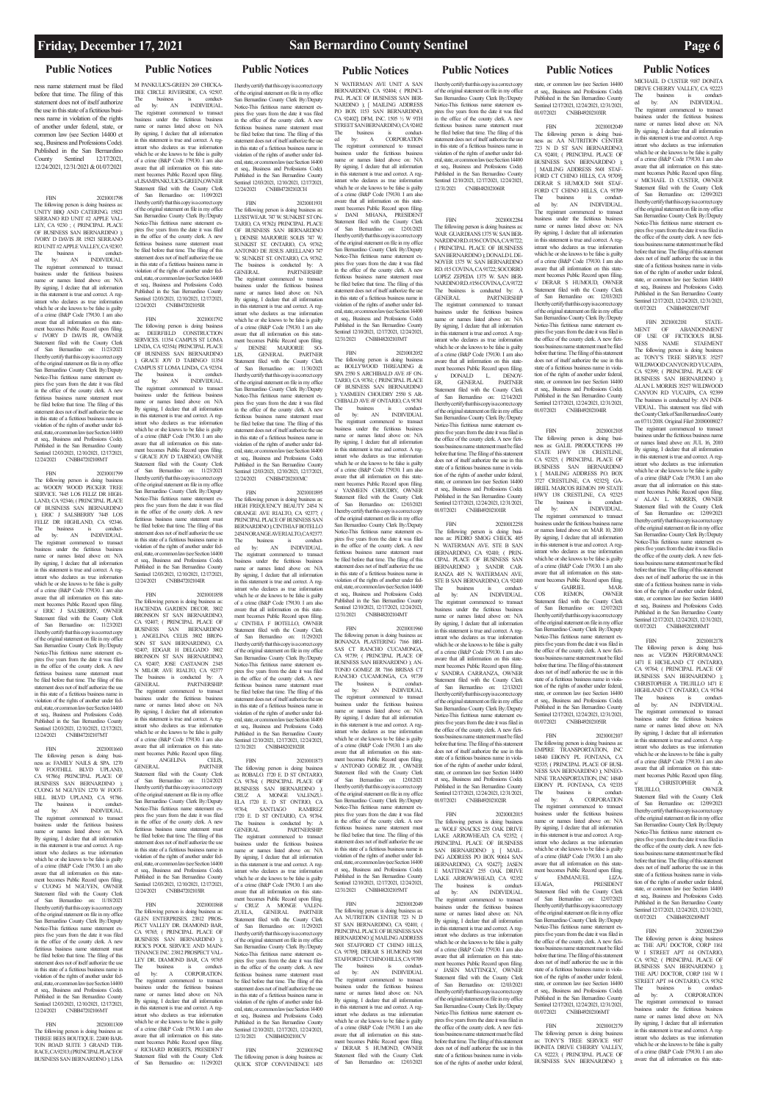ness name statement must be filed before that time. The filing of this statement does not of itself authorize the use in this state of a fictitious business name in violation of the rights of another under federal, state, or common law (see Section 14400 et seq., Business and Professions Code). Published in the San Bernardino County Sentinel 12/17/2021, 12/24/2021, 12/31/2021 & 01/07/2021

FBN 20210011798 The following person is doing business as: UNITY BBQ AND CATERING. 15821 SERRANO RD UNIT #2 APPLE VAL-LEY, CA 9230 ; ( PRINCIPAL PLACE OF BUSINESS SAN BERNARDINO ); IVORY D DAVIS JR 15821 SERRANO RD UNIT #2 APPLE VALLEY, CA 92307. The business is conduct-ed by: AN INDIVIDUAL. The registrant commenced to transact business under the fictitious business name or names listed above on: N/A By signing, I declare that all information in this statement is true and correct. A registrant who declares as true information which he or she knows to be false is guilty of a crime (B&P Code  $179130$ . I am aware that all information on this statement becomes Public Record upon filing. s/ IVORY D DAVIS JR, OWNER Statement filed with the County Clerk of San Bernardino on: 11/23/2021 I hereby certify that this copy is a correct copy of the original statement on file in my office San Bernardino County Clerk By:/Deputy Notice-This fictitious name statement expires five years from the date it was filed in the office of the county clerk. A new fictitious business name statement must be filed before that time. The filing of this statement does not of itself authorize the use in this state of a fictitious business name in violation of the rights of another under federal, state, or common law (see Section 14400 et seq., Business and Professions Code). Published in the San Bernardino County Sentinel 12/03/2021, 12/10/2021, 12/17/2021, 12/24/2021 CNBB47202108MT

FBN 20210011799 The following person is doing business as: WOODY WOOD PECKER TREE SERVICE. 7445 LOS FELIZ DR HIGH-LAND, CA 92346; ( PRINCIPAL PLACE OF BUSINESS SAN BERNARDINO ); ERIC J SALSBERRY 7445 LOS FELIZ DR HIGHLAND, CA 92346 The business is conduct-ed by: AN INDIVIDUAL. The registrant commenced to transact business under the fictitious business name or names listed above on: N/A By signing, I declare that all information in this statement is true and correct. A registrant who declares as true information which he or she knows to be false is guilty of a crime (B&P Code 179130. I a aware that all information on this statement becomes Public Record upon filing. s/ ERIC J SALSBERRY, OWNER Statement filed with the County Clerk of San Bernardino on: 11/23/2021 I hereby certify that this copy is a correct copy of the original statement on file in my office San Bernardino County Clerk By:/Deputy Notice-This fictitious name statement expires five years from the date it was filed in the office of the county clerk. A new fictitious business name statement must be filed before that time. The filing of this statement does not of itself authorize the use in this state of a fictitious business name in violation of the rights of another under federal, state, or common law (see Section 14400 et seq., Business and Professions Code). Published in the San Bernardino County Sentinel 12/03/2021, 12/10/2021, 12/17/2021<br>12/24/2021 CNBB47202107MT 12/24/2021 CNBB47202107MT

12/24/2021 CNBB47202104IR FBN 20210011858 The following person is doing business as: HACIENDA GARDEN DECOR. 3802 BRONSON ST SAN BERNARDINO, CA 92407; ( PRINCIPAL PLACE OF BUSINESS SAN BERNARDINO ); ANGELINA CELIS 3802 BRON-SAN BERNARDINO, CA 92407; EDGAR H DELGADO 3802 BRONSON ST SAN BERNARDINO, CA 92407; JOSE CASTANON 2345 N MILOR AVE RIALTO, CA 92377 The business is conducted by: GENERAL PARTNERSHIP. The registrant commenced to transact business under the fictitious business name or names listed above on: N/A By signing, I declare that all information in this statement is true and correct. A registrant who declares as true information which he or she knows to be false is guilty of a crime (B&P Code 179130. I am also aware that all information on this statement becomes Public Record upon filing.<br>Solution ANGELINA CELIS

s/ ANGELINA CELIS,<br>GENERAL PARTNER GENERAL PARTNER Statement filed with the County Clerk of San Bernardino on: 11/24/2021 I hereby certify that this copy is a correct copy of the original statement on file in my office San Bernardino County Clerk By:/Deputy Notice-This fictitious name statement ex-pires five years from the date it was filed **in** the office of the county clerk. A new fictitious business name statement must be filed before that time. The filing of this statement does not of itself authorize the use in this state of a fictitious business name in violation of the rights of another under fed-<br>cml state or common law (see Section 14400)

FBN 20210011660 The following person is doing busi-ness as: FAMILY NAILS & SPA. 1270 FOOTHILL BLVD UPLAND, CA 91786;( PRINCIPAL PLACE OF BUSINESS SAN BERNARDINO CUONG M NGUYEN 1270 W FOOT-HILL BLVD UPLAND, CA 91786. The business is conduct-ed by: AN INDIVIDUAL. The registrant commenced to transact business under the fictitious business name or names listed above on: N/A By signing, I declare that all information in this statement is true and correct. A registrant who declares as true information which he or she knows to be false is guilty of a crime (B&P Code 179130. I am also aware that all information on this statement becomes Public Record upon filing. s/ CUONG M NGUYEN, OWNER Statement filed with the County Clerk of San Bernardino on: 11/18/2021 I hereby certify that this copy is a correct copy of the original statement on file in my office San Bernardino County Clerk By:/Deputy Notice-This fictitious name statement expires five years from the date it was filed in the office of the county clerk. A new fictitious business name statement must be filed before that time. The filing of this statement does not of itself authorize the use in this state of a fictitious business name in violation of the rights of another under federal, state, or common law (see Section 14400 et seq., Business and Professions Code). Published in the San Bernardino County Sentinel 12/03/2021, 12/10/2021, 12/17/2021, 12/24/2021 CNBB47202106MT FBN 20210011309 The following person is doing business as: THREE BEES BOUTIQUE. 22400 BAR-TON ROAD SUITE 3 GRAND TER-RACE CA 92313; (PRINCIPAL PLACE OF BUSINESS SAN BERNARDINO ); LISA

# **Public Notices Public Notices Public Notices Public Notices Public Notices Public Notices Public Notices**

FBN 20210011931 The following person is doing business as: LUSSTWEAR. 747 W. SUNKIST ST ON-TARIO, CA 91762;( PRINCIPAL PLACE OF BUSINESS SAN BERNARDINO ); DENISE MARJORIE SOLIS 747 W. SUNKIST ST. ONTARIO, CA 91762; ANTONIO DE JESUS ARELLANO 747 W. SUNKIST ST. ONTARIO, CA 91762. The business is conducted by: A<br>GENERAL PARTNERSHIP PARTNERSHIP The registrant commenced to transact business under the fictitious business name or names listed above on: N/A By signing, I declare that all information in this statement is true and correct. A registrant who declares as true information which he or she knows to be false is guilty of a crime (B&P Code 179130. I am also aware that all information on this statement becomes Public Record upon filing. s/ DENISE MARJORIE SO<br>LIS GENERAL PARTNER

Notice-This fictitious name statement ex-pires five years from the date it was filed in the office of the county clerk. A new fictitious business name statement must be filed before that time. The filing of this statement does not of itself authorize the use in this state of a fictitious business name in violation of the rights of another under federal, state, or common law (see Section 14400 et seq., Business and Professions Code). Published in the San Bernardino County Sentinel 12/03/2021, 12/10/2021, 12/17/2021, 12/24/2021 CNBB47202105IR

> GENERAL PARTNER Statement filed with the County Clerk of San Bernardino on: 11/30/2021 I hereby certify that this copy is a correct copy of the original statement on file in my office San Bernardino County Clerk By:/Deputy Notice-This fictitious name statement expires five years from the date it was filed in the office of the county clerk. A new fictitious business name statement must be filed before that time. The filing of this statement does not of itself authorize the use in this state of a fictitious business name in violation of the rights of another under federal, state, or common law (see Section 14400 et seq., Business and Professions Code). ed in the San Bernardino County Sentinel 12/03/2021, 12/10/2021, 12/17/2021, 12/24/2021 CNBB47202101MC

FBN 20210011792 The following person is doing business as: DEERFIELD CONSTRUCTION SERVICES. 11354 CAMPUS ST LOMA LINDA, CA 92354;( PRINCIPAL PLACE OF BUSINESS SAN BERNARDINO ); GRACE JOY D TABINGO 11354 CAMPUS ST LOMA LINDA, CA 92354. The business is conduct-ed by: AN INDIVIDUAL. The registrant commenced to transact business under the fictitious business name or names listed above on: N/A By signing, I declare that all information in this statement is true and correct. A reg-istrant who declares as true information which he or she knows to be false is guilty of a crime (B&P Code 179130. I am also aware that all information on this statement becomes Public Record upon filing s/ GRACE JOY D TABINGO, OWNER Statement filed with the County Clerk of San Bernardino on: 11/23/2021 I hereby certify that this copy is a correct copy of the original statement on file in my office San Bernardino County Clerk By:/Deputy Notice-This fictitious name statement ex-pires five years from the date it was filed in the office of the county clerk. A new fictitious business name statement must be filed before that time. The filing of this statement does not of itself authorize the use in this state of a fictitious business name in violation of the rights of another under federal, state, or common law (see Section 14400 et seq., Business and Professions Code). Published in the San Bernardino County Sentinel 12/03/2021, 12/10/2021, 12/17/2021, N WATERMAN AVE UNIT A SAN BERNARDINO, CA 92404; ( PRINCI-PAL PLACE OF BUSINESS SAN BER-NARDINO ); [ MAILING ADDRESS P.O BOX 1153 SAN BERNARDINO CA 92402]; DFM, INC. 1505 ½ W 9TH STREET SAN BERNARDINO, CA 92402<br>The business is conduct-

M PANKULICS-GREEN 269 CHICKA-DEE CIRCLE RIVERSIDE, CA 92507. The business is conduct-ed by: AN INDIVIDUAL. The registrant commenced to transact business under the fictitious business name or names listed above on: N/A By signing, I declare that all information in this statement is true and correct. A reg-istrant who declares as true information which he or she knows to be false is guilty of a crime (B&P Code 179130. I am also aware that all information on this statement becomes Public Record upon filing. s/LISAMPANKULICS-GREEN, OWNER Statement filed with the County Clerk of San Bernardino on: 11/09/2021 I hereby certify that this copy is a correct copy of the original statement on file in my office San Bernardino County Clerk By:/Deputy 12/24/2021 CNBB47202102CH

eral, state, or common law (see Section 14400 et seq., Business and Professions Code). Published in the San Bernardino County Sentinel 12/03/2021, 12/10/2021, 12/17/2021, 12/24/2021 CNBB47202103IR

FBN 20210011868 The following person is doing business as: GLEN ENTERPRISES. 23812 PROS-PECT VALLEY DR. DIAMOND BAR, CA 91765; ( PRINCIPAL PLACE OF BUSINESS SAN BERNARDINO ); RICK'S POOL SERVICE AND MAIN-TENANCE INC. 23812 PROSPECT VAL-LEY DR. DIAMOND BAR, CA 91765<br>The business is conduct-The business is conduct-ed by: A CORPORATION. The registrant commenced to transact business under the fictitious business name or names listed above on: N/A By signing, I declare that all information in this statement is true and correct. A registrant who declares as true information which he or she knows to be false is guilty of a crime (B&P Code 179130. I am also aware that all information on this statement becomes Public Record upon filing. s/ RICHARD ROBERTS, PRESIDENT Statement filed with the County Clerk

of San Bernardino on: 11/29/2021

20210012049 The following person is doing business as: AA NUTRITION CENTER 723 N D SAN BERNARDINO, CA 92401; ( PRINCIPAL PLACE OF BUSINESS SAN BERNARDINO );[ MAILING ADDRESS 5601 STAFFORD CT CHINO HILLS, CA 91709]; DERAR S HUMOND 5601 STAFFORD CT CHINO HILLS, CA 91709 The business is conduct-ed by: AN INDIVIDUAL The registrant commenced to transact business under the fictitious business name or names listed above on: N/A By signing, I declare that all information in this statement is true and correct. A registrant who declares as true information which he or she knows to be false is guilty of a crime (B&P Code 179130. I am also aware that all information on this statement becomes Public Record upon filing. s/ DERAR S HUMOND, OWNER

I hereby certify that this copy is a correct copy of the original statement on file in my office San Bernardino County Clerk By:/Deputy Notice-This fictitious name statement expires five years from the date it was filed in the office of the county clerk. A new fictitious business name statement must be filed before that time. The filing of this statement does not of itself authorize the use in this state of a fictitious business name in violation of the rights of another under federal, state, or common law (see Section 14400 et seq., Business and Professions Code). Published in the San Bernardino County Sentinel 12/03/2021, 12/10/2021, 12/17/2021,

> FBN 20210012258 The following person is doing business as: PEDRO SMOG CHECK 405 WATERMAN AVE. STE B SAN BERNARDINO, CA 92410; ( PRIN-CIPAL PLACE OF BUSINESS SAN BERNARDINO ); SANDR CAR-RANZA 405 N. WATERMAN AVE, STE B SAN BERNARDINO, CA 92410 The business is conduct-ed by: AN INDIVIDUAL. The registrant commenced to transact business under the fictitious business name or names listed above on: N/A By signing, I declare that all information in this statement is true and correct. A registrant who declares as true information which he or she knows to be false is guilty of a crime (B&P Code 179130. I am also aware that all information on this statement becomes Public Record upon filing. s/ SANDRA CARRANZA, OWNER Statement filed with the County Clerk of San Bernardino on: 12/132021 I hereby certify that this copy is a correct copy of the original statement on file in my office San Bernardino County Clerk By:/Deputy Notice-This fictitious name statement expires five years from the date it was filed in the office of the county clerk. A new fictitious business name statement must be filed before that time. The filing of this statement does not of itself authorize the use in this state of a fictitious business name in violation of the rights of another under federal state, or common law (see Section 14400 et seq., Business and Professions Code). Published in the San Bernardino County Sentinel 12/17/2021, 12/24/2021, 12/31/2021 01/07/2021 CNBB49202102IR

FBN 20210011895 The following person is doing business as: HIGH FREQUENCY BEAUTY 2454 N ORANGE AVE RIALTO, CA 92377; ( PRINCIPAL PLACE OF BUSINESS SAN BERNARDINO ); CINTHIA F BOTELLO 2454 N ORANGE AVE RIALTO, CA 92377. The business is conduct-ed by: AN INDIVIDUAL. The registrant commenced to transact business under the fictitious business name or names listed above on: N/A By signing, I declare that all information in this statement is true and correct. A registrant who declares as true information which he or she knows to be false is guilty of a crime (B&P Code 179130. I am also aware that all information on this statement becomes Public Record upon filing. s/ CINTHIA F BOTELLO, OWNER Statement filed with the County Clerk San Bernardino on: 11/29/2021 I hereby certify that this copy is a correct copy of the original statement on file in my office San Bernardino County Clerk By:/Deputy Notice-This fictitious name statement expires five years from the date it was filed in the office of the county clerk. A new fictitious business name statement must be filed before that time. The filing of this statement does not of itself authorize the use in this state of a fictitious business name in violation of the rights of another under federal, state, or common law (see Section 14400 et seq., Business and Professions Code). Published in the San Bernardino County Sentinel 12/10/2021, 12/17/2021, 12/24/2021,

12/31/2021 CNBB48202102IR

FBN 20210011873 The following person is doing business as: ROBALO. 1720 E. D ST ONTARIO, CA 91764; ( PRINCIPAL PLACE OF BUSINESS SAN BERNARDINO ); CRUZ A MONGE VALENZU-ELA 1720 E. D ST ONTRIO, CA 91764; SANTIAGO RAMIREZ 1720 E. D ST ONTARIO, CA 91764. The business is conducted by: A<br>GENERAL PARTNERSHIP. PARTNERSHIP. The registrant commenced to transact business under the fictitious busin name or names listed above on: N/A By signing, I declare that all information in this statement is true and correct. A registrant who declares as true information which he or she knows to be false is guilty of a crime (B&P Code 179130. I am also aware that all information on this statement becomes Public Record upon filing.<br>
S/ CRUZ A MONGE VALENs/ CRUZ A MONGE VALEN-ZUELA, GENERAL PARTNER Statement filed with the County Clerk of San Bernardino on: 11/29/2021 I hereby certify that this copy is a correct copy of the original statement on file in my office San Bernardino County Clerk By:/Deputy Notice-This fictitious name statement expires five years from the date it was filed in the office of the county clerk. A new fictitious business name statement must be filed before that time. The filing of this statement does not of itself authorize the use in this state of a fictitious business name in violation of the rights of another under federal, state, or common law (see Section 14400 seq., Business and Professions Code). Published in the San Bernardino County Sentinel 12/10/2021, 12/17/2021, 12/24/2021, 12/31/2021 CNBB48202101CV

FBN 20210011942 The following person is doing business as: QUICK STOP CONVENIENCE 1435

The business is conduct-ed by: A CORPORATION The registrant commenced to transact business under the fictitious business name or names listed above on: N/A By signing, I declare that all information in this statement is true and correct. A registrant who declares as true information which he or she knows to be false is guilty of a crime (B&P Code 179130. I am also aware that all information on this statement becomes Public Record upon filing. DANI MHANA, PRESIDENT Statement filed with the County Clerk of San Bernardino on: 12/01/2021 I hereby certify that this copy is a correct copy of the original statement on file in my office San Bernardino County Clerk By:/Deputy Notice-This fictitious name statement expires five years from the date it was filed in the office of the county clerk. A new fictitious business name statement must be filed before that time. The filing of this statement does not of itself authorize the use in this state of a fictitious business name in violation of the rights of another under federal, state, or common law (see Section 14400 et seq., Business and Professions Code). Published in the San Bernardino County Sentinel 12/10/2021, 12/17/2021, 12/24/2021, 12/31/2021 CNBB48202103MT

FBN 20210012181 STATE-MENT OF ABANDONMENT OF USE OF FICTICIOUS BUSI-NESS NAME STAEMENT The following person is doing business as: TONY'S TREE SERVICE 35257 WILDWOOD CANYON RD YUCAIPA CA 92399; ( PRINCIPAL PLACE OF BUSINESS SAN BERNARDINO ALAN L MORRIS 35257 WILDWOOD CANYON RD YUCAIPA, CA 92399 The business is conducted by: AN INDI-VIDUAL. This statement was filed with the County Clerk of San Bernardino County on 07/11/2018. Original File# 20180008027 The registrant commenced to transact business under the fictitious business name or names listed above on: JUL 16, 2010 By signing, I declare that all information in this statement is true and correct. A registrant who declares as true information which he or she knows to be false is guilty of a crime (B&P Code 179130. I am also aware that all information on this statement becomes Public Record upon filing<br>s/ ALAN L. MORRIS. OWNER ALAN L. MORRIS, Statement filed with the County Clerk of San Bernardino on: 12/09/2021 I hereby certify that this copy is a correct copy of the original statement on file in my office San Bernardino County Clerk By:/Deputy Notice-This fictitious name statement expires five years from the date it was filed in the office of the county clerk. A new fictitious business name statement must be filed before that time. The filing of this statement does not of itself authorize the use in this state of a fictitious business name in violation of the rights of another under federal state, or common law (see Section 14400 et seq., Business and Professions Code). Published in the San Bernardino County Sentinel 12/17/2021, 12/24/2021, 12/31/2021, 01/07/2021 CNBB49202108MT

FBN 20210012052 The following person is doing business as: BOLLYWOOD THREADING & SPA 2550 S ARCHIBALD AVE #F ON-TARIO, CA 91761; ( PRINCIPAL PLACE OF BUSINESS SAN BERNARDINO ); YASMEEN CHOUDRY 2550 S AR-CHIBALD AVE #F ONTARIO, CA 91761<br>The business is conduct-The business is conduct-ed by: AN INDIVIDUAL registrant commenced to transact business under the fictitious business name or names listed above on: N/A By signing, I declare that all information in this statement is true and correct. A registrant who declares as true information which he or she knows to be false is guilty of a crime (B&P Code 179130. I am also aware that all information on this statement becomes Public Record upon filing. s/ YASMEEN CHOUDRY, OWNER Statement filed with the County Clerk of San Bernardino on: 12/03/2021 I hereby certify that this copy is a correct copy of the original statement on file in my office San Bernardino County Clerk By:/Deputy Notice-This fictitious name statement expires five years from the date it was filed a the office of the county clerk. A new fictitious business name statement must be filed before that time. The filing of this statement does not of itself authorize the use in this state of a fictitious business name in violation of the rights of another under federal, state, or common law (see Section 14400 et seq., Business and Professions Code). Published in the San Bernardino County Sentinel 12/10/2021, 12/17/2021, 12/24/2021, 12/31/2021 CNBB48202104MT

FBN 20210011960 The following person is doing business as: BONANZA PLASTERING 7166 BRI-SAS CT RANCHO CUCAMONGA, CA 91739; ( PRINCIPAL PLACE OF BUSINESS SAN BERNARDINO ); AN-TONIO GOMEZ JR 7166 BRISAS CT RANCHO CUCAMONGA, CA 91739 The business is conduct-ed by: AN INDIVIDUAL The registrant commenced to transact business under the fictitious business name or names listed above on: N/A By signing, I declare that all information in this statement is true and correct. A registrant who declares as true information which he or she knows to be false is guilty of a crime (B&P Code 179130. I am also aware that all information on this statement becomes Public Record upon filing. s/ ANTONIO GOMEZ JR. , OWNER Statement filed with the County Clerk of San Bernardino on: 12/012021 I hereby certify that this copy is a correct copy of the original statement on file in my office San Bernardino County Clerk By:/Deputy Notice-This fictitious name statement expires five years from the date it was filed in the office of the county clerk. A new fictitious business name statement must be filed before that time. The filing of this statement does not of itself authorize the use in this state of a fictitious business name in violation of the rights of another under fed-

eral, state, or common law (see Section 14400 et seq., Business and Professions Code). Published in the San Bernardino County Sentinel 12/10/2021, 12/17/2021, 12/24/2021, 12/31/2021 CNBB48202105MT

Statement filed with the County Clerk of San Bernardino on: 12/03/2021

I hereby certify that this copy is a correct copy of the original statement on file in my office San Bernardino County Clerk By:/Deputy Notice-This fictitious name statement expires five years from the date it was filed in the office of the county clerk. A new fictitious business name statement must be filed before that time. The filing of this statement does not of itself authorize the use in this state of a fictitious business name in violation of the rights of another under federal, state, or common law (see Section 14400 et seq., Business and Professions Code). Published in the San Bernardino County Sentinel 12/10/2021, 12/17/2021, 12/24/2021, 12/31/2021 CNBB48202106IR

### FBN 20210012284

The following person is doing business as: WAR GUARDIANS 1375 W. SAN BER-NARDINO RD. #156 COVINA, CA 91722; ( PRINCIPAL PLACE OF BUSINESS SAN BERNARDINO ); DONALD L DE-NOYER 1375 W. SAN BERNARDINO RD. #15 COVINA, CA 91722; SOCORRO LOPEZ ZEPEDA 1375 W. SAN BER-NARDINO RD. #156 COVINA, CA 91722 The business is conducted by: A<br>GENERAL PARTNERSHIP PARTNERSHIP The registrant commenced to transact business under the fictitious business name or names listed above on: N/A By signing, I declare that all information in this statement is true and correct. A registrant who declares as true information which he or she knows to be false is guilty of a crime (B&P Code 179130. I am also aware that all information on this statement becomes Public Record upon filing. s/ DONALD L. DENOY-ER, GENERAL PARTNER Statement filed with the County Clerk of San Bernardino on: 12/14/2021 I hereby certify that this copy is a correct copy of the original statement on file in my office San Bernardino County Clerk By:/Deputy Notice-This fictitious name statement expires five years from the date it was filed in the office of the county clerk. A new fictitious business name statement must be filed before that time. The filing of this statement does not of itself authorize the use in this state of a fictitious business name in violation of the rights of another under federal, state, or common law (see Section 14400 et seq., Business and Professions Code). Published in the San Bernardino County Sentinel 12/17/2021, 12/24/2021, 12/31/2021, 01/07/2021 CNBB49202101IR

FBN 20210012015 The following person is doing business as: WOLF SNACKS 255  $\Omega$ AK DRIVE LAKE ARROWHEAD, CA 92352; ( PRINCIPAL PLACE OF BUSINESS SAN BERNARDINO ); [ MAIL-

ING ADDRESS PO BOX 90614 SAN BERNARDINO, CA 92427]; JASEN E MATTINGLY 255 OAK DRIVE LAKE ARROWWHEAD, CA 92352<br>The business is conduct-The business is conduct-ed by: AN INDIVIDUAL. The registrant commenced to transact business under the fictitious business name or names listed above on: N/A By signing, I declare that all information in this statement is true and correct. A registrant who declares as true information which he or she knows to be false is guilty of a crime (B&P Code 179130. I am also aware that all information on this statement becomes Public Record upon filing. s/ JASEN MATTINGLY, OWNER Statement filed with the County Clerk of San Bernardino on: 12/03/2021 I hereby certify that this copy is a correct copy of the original statement on file in my office San Bernardino County Clerk By:/Deputy Notice-This fictitious name statement expires five years from the date it was filed in the office of the county clerk. A new ficti tious business name statement must be filed before that time. The filing of this statement does not of itself authorize the use in this state of a fictitious business name in violation of the rights of another under federal,

state, or common law (see Section 14400 et seq., Business and Professions Code). Published in the San Bernardino County Sentinel 12/17/2021, 12/24/2021, 12/31/2021, 01/07/2021 CNBB49202103IR

FBN 20210012049 The following person is doing busi-ness as: AA NUTRITION CENTER 723 N D ST SAN BERNARDINO, CA 92401; ( PRINCIPAL PLACE OF BUSINESS SAN BERNARDINO ); MAILING ADDRESS 5601 STAF FORD CT CHINO HILLS, CA 91709]; DERAR S HUMOUD 5601 STAF-FORD CT CHINO HILLS, CA 91709 The business is conduct-ed by: AN INDIVIDUAL. The registrant commenced to transact business under the fictitious business name or names listed above on: N/A By signing, I declare that all information  $\frac{1}{2}$  in this statement is true and correct. A registrant who declares as true information which he or she knows to be false is guilty of a crime (B&P Code 179130. I am also aware that all information on this statement becomes Public Record upon filing. s/ DERAR S HUMOUD, OWNER Statement filed with the County Clerk of San Bernardino on: 12/03/2021 I hereby certify that this copy is a correct copy of the original statement on file in my office San Bernardino County Clerk By:/Deputy Notice-This fictitious name statement expires five years from the date it was filed in the office of the county clerk. A new fictitious business name statement must be filed before that time. The filing of this statement does not of itself authorize the use in this state of a fictitious business name in violation of the rights of another under federal state, or common law (see Section 14400 et seq., Business and Professions Code). Published in the San Bernardino County

Sentinel 12/17/2021, 12/24/2021, 12/31/2021, 01/07/2021 CNBB49202104IR

FBN 20210012105 The following person is doing busi-ness as: GALIL PRODUCTIONS 199 STATE HWY 138 CRESTLINE, CA 92325; ( PRINCIPAL PLACE OF BUSINESS SAN BERNARDINO ); [ MAILING ADDRESS P.O. BOX 3727 CRESTLINE, CA 92325]; GA-BRIEL MARCOS REMON 199 STATE HWY 138 CRESTLINE, CA 92325<br>The business is conduct-The business is conduct-ed by: AN INDIVIDUAL. The registrant commenced to transact business under the fictitious business name or names listed above on: MAR 10, 2010 By signing, I declare that all information  $\frac{1}{2}$  in this statement is true and correct. A registrant who declares as true information which he or she knows to be false is guilty of a crime (B&P Code 179130. I am also aware that all information on this statement becomes Public Record upon filing.<br>
s/ GABRIEL MARs/ GABRIEL<br>COS REMON, OWNER Statement filed with the County Clerk of San Bernardino on: 12/07/2021 I hereby certify that this copy is a correct copy of the original statement on file in my office San Bernardino County Clerk By:/Deputy Notice-This fictitious name statement ex-pires five years from the date it was filed in the office of the county clerk. A new fictitious business name statement must be filed before that time. The filing of this statement

does not of itself authorize the use in this state of a fictitious business name in violation of the rights of another under federal,

state, or common law (see Section 14400 et seq., Business and Professions Code). Published in the San Bernardino County

### Sentinel 12/17/2021, 12/24/2021, 12/31/2021, 01/07/2021 CNBB49202105IR

FBN 20210012107 The following person is doing business as: EMPIRE TRANSPORTATION, INC 14840 EBONY PL FONTANA CA 92335; ( PRINCIPAL PLACE OF BUSI-NESS SAN BERNARDINO ); NINEO-NINE TRANSPORTATION, INC 14840 EBONY PL FONTANA, CA 92335 The business is conduct-ed by: A CORPORATION The registrant commenced to transact business under the fictitious business name or names listed above on: N/A By signing, I declare that all information in this statement is true and correct. A registrant who declares as true information which he or she knows to be false is guilty

of a crime (B&P Code 179130. I am also are that all information on this state ment becomes Public Record upon filing.<br>
S/
FMMANUEL LIZAs/ EMMANUEL LIZA-<br>EEAGA. PRESIDENT EEAGA, PRESIDENT Statement filed with the County Clerk of San Bernardino on: 12/07/2021 I hereby certify that this copy is a correct copy of the original statement on file in my office San Bernardino County Clerk By:/Deputy Notice-This fictitious name statement expires five years from the date it was filed in the office of the county clerk. A new fiction tious business name statement must be filed before that time. The filing of this statement does not of itself authorize the use in this state of a fictitious business name in violation of the rights of another under federal, state, or common law (see Section 14400 et seq., Business and Professions Code). Published in the San Bernardino County Sentinel 12/17/2021, 12/24/2021, 12/31/2021, 01/07/2021 CNBB49202106MT

FBN 20210012179 The following person is doing business as: TONY'S TREE SERVICE 9187 BONITA DRIVE CHERRY VALLEY, CA 92223; ( PRINCIPAL PLACE OF BUSINESS SAN BERNARDINO );

MICHAEL D CUSTER 9187 DONITA DRIVE CHERRY VALLEY, CA 92223 The business is conduct-ed by: AN INDIVIDUAL. The registrant commenced to transact business under the fictitious business name or names listed above on: N/A By signing, I declare that all information in this statement is true and correct. A registrant who declares as true information which he or she knows to be false is guilty of a crime (B&P Code 179130. I am also aware that all information on this statement becomes Public Record upon filing. s/ MICHAEL D. CUSTER, OWNER Statement filed with the County Clerk of San Bernardino on: 12/09/2021 I hereby certify that this copy is a correct copy of the original statement on file in my office San Bernardino County Clerk By:/Deputy Notice-This fictitious name statement expires five years from the date it was filed in the office of the county clerk. A new fictitious business name statement must be filed before that time. The filing of this statement does not of itself authorize the use in this state of a fictitious business name in violation of the rights of another under federal state, or common law (see Section 14400 et seq., Business and Professions Code). Published in the San Bernardino County Sentinel 12/17/2021, 12/24/2021, 12/31/2021, 01/07/2021 CNBB49202107MT

### FBN 20210012178

The following person is doing business as: VIZION PERFORMANCE 1471 E HICHLAND CT ONTARIO,<br>CA 91764; (PRINCIPAL PLACE OF CA 91764; ( PRINCIPAL PLACE OF BUSINESS SAN BERNARDINO ); CHRISTOPHER A TRUJILLO 1471 E HIGHLAND CT ONTARIO, CA 91764 The business is conduct-ed by: AN INDIVIDUAL. The registrant commenced to transact business under the fictitious business name or names listed above on: N/A By signing, I declare that all information ent is true and correct. A registrant who declares as true information which he or she knows to be false is guilty of a crime (B&P Code 179130. I am also aware that all information on this statement becomes Public Record upon filing. CHRISTOPHER A. TRUJILLO, Statement filed with the County Clerk of San Bernardino on: 12/09/2021 I hereby certify that this copy is a correct copy of the original statement on file in my office

San Bernardino County Clerk By:/Deputy Notice-This fictitious name statement expires five years from the date it was filed in the office of the county clerk. A new fictitious business name statement must be filed before that time. The filing of this does not of itself authorize the use in this state of a fictitious business name in violation of the rights of another under federal, state, or common law (see Section 14400 et seq., Business and Professions Code). Published in the San Bernardino County Sentinel 12/17/2021, 12/24/2021, 12/31/2021, 01/07/2021 CNBB49202109MT

### FBN 20210012269

The following person is doing business as: THE APU DOCTOR, CORP 1161 W I STREET APT #4 ONTARIO, CA 91762; ( PRINCIPAL PLACE OF BUSINESS SAN BERNARDINO ); THE APU DOCTOR, CORP 1161 W I STREET APT #4 ONTARIO, CA 91762 The business is conduct-ed by: A CORPORATION The registrant commenced to transact business under the fictitious business name or names listed above on: N/A By signing. I declare that all information in this statement is true and correct. A registrant who declares as true information which he or she knows to be false is guilty of a crime (B&P Code 179130. I am also aware that all information on this state-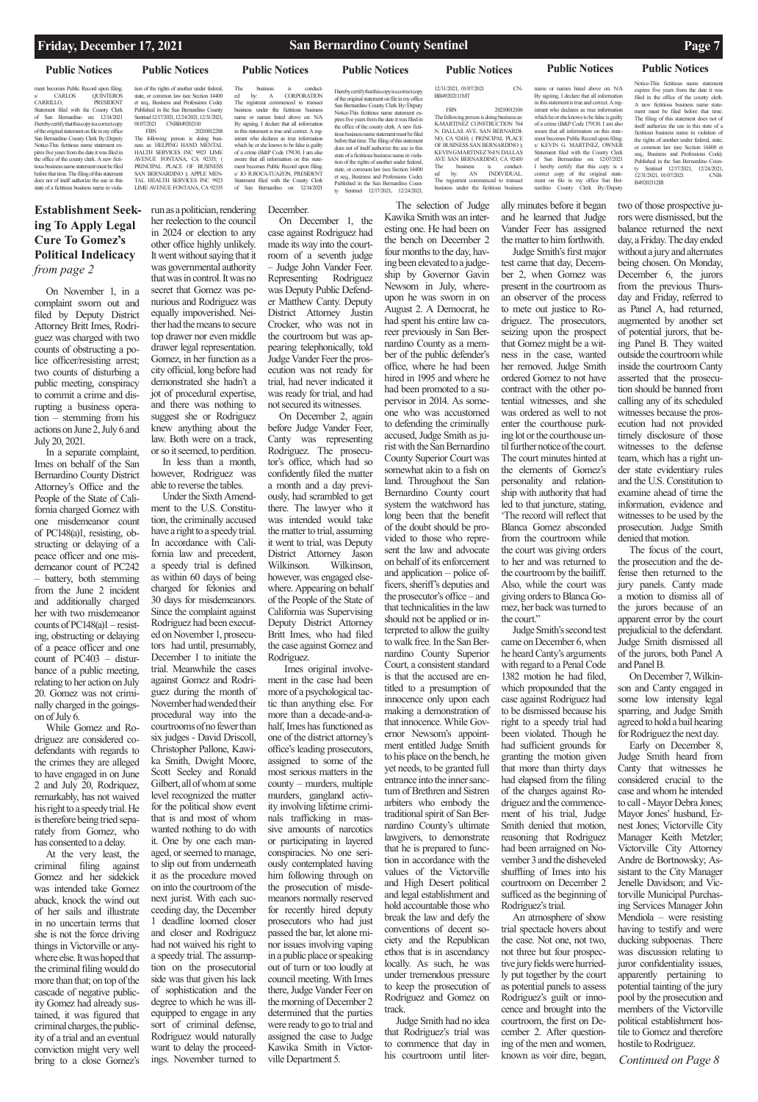*Continued on Page 8* 

# **Establishment Seeking To Apply Legal Cure To Gomez's Political Indelicacy**

*from page 2* 

### **Public Notices Public Notices**

# **Friday, December 17, 2021 San Bernardino County Sentinel Page 7**

### **Public Notices Public Notices Public Notices Public Notices Public Notices**

tion of the rights of another under federal state, or common law (see Section 14400 et seq., Business and Professions Code). Published in the San Bernardino County Sentinel 12/17/2021, 12/24/2021, 12/31/2021, 01/07/2021 CNBB49202110 FBN 20210012288

ment becomes Public Record upon filing. s/ CARLOS QUINTEROS CARRILLO, PRESIDENT Statement filed with the County Clerk of San Bernardino on: 12/14/2021 I hereby certify that this copy is a correct copy of the original statement on file in my office San Bernardino County Clerk By:/Deputy Notice-This fictitious name statement expires five years from the date it was filed in the office of the county clerk. A new fictitious business name statement must be filed before that time. The filing of this statement does not of itself authorize the use in this state of a fictitious business name in viola-

The business is conduct-ed by: A CORPORATION The registrant commenced to transact business under the fictitious business name or names listed above on: N/A By signing, I declare that all information

The following person is doing busi-ness as: HELPING HAND MENTAL HALTH SERVICES INC 9923 LIME AVENUE FONTANA, CA 92335; ( PRINCIPAL PLACE OF BUSINESS SAN BERNARDINO ); APPLE MEN-TAL HEALTH SERVICES INC 9923 LIME AVENUE FONTANA, CA 92335 in this statement is true and correct. A registrant who declares as true information which he or she knows to be false is guilty of a crime (B&P Code 179130. I am also aware that all information on this statement becomes Public Record upon filing. s/ JO R.ROCA-TUAZON, PRESIDENT Statement filed with the County Clerk of San Bernardino on: 12/14/2021

Notice-This fictitious name statement expires five years from the date it was filed in the office of the county clerk. A new fictitious business name statement must be filed before that time. The filing of this statement does not of itself authorize the use in this state of a fictitious business name in violation of the rights of another under federal, state or common law (see Section 14400 et seq., Business and Professions Code). Published in the San Bernardino County Sentinel 12/17/2021, 12/24/2021, 12/31/2021, 01/07/2021 CNB-B49202112IR

I hereby certify that this copy is a correct copy of the original statement on file in my office San Bernardino County Clerk By:/Deputy Notice-This fictitious name statement expires five years from the date it was filed in the office of the county clerk. A new fictitious business name statement must be filed before that time. The filing of this statement does not of itself authorize the use in this state of a fictitious business name in violation of the rights of another under federal, state, or common law (see Section 14400 et seq., Business and Professions Code). Published in the San Bernardino County Sentinel 12/17/2021, 12/24/2021,

12/31/2021, 01/07/2021 CN-BB49202111MT

FBN 20210012106 The following person is doing business as: K-MARTINEZ CONSTRUCTION 764 N. DALLAS AVE. SAN BERNARDI-NO, CA 92410; ( PRINCIPAL PLACE OF BUSINESS SAN BERNARDINO ); KEVINGMARTINEZ 764 N. DALLAS AVE SAN BERNARDINO, CA 92410<br>The business is conduct-The business is conduct-ed by: AN INDIVIDUAL. The registrant commenced to transact business under the fictitious business

name or names listed above on: N/A By signing, I declare that all information in this statement is true and correct. A registrant who declares as true information which he or she knows to be false is guilty of a crime (B&P Code 179130. I am also aware that all information on this statement becomes Public Record upon filing. s/ KEVIN G. MARTINEZ, OWNER Statement filed with the County Clerk of San Bernardino on: 12/07/2021 I hereby certify that this copy is a correct copy of the original state-ment on file in my office San Bernardino County Clerk By:/Deputy

On November 1, in a complaint sworn out and filed by Deputy District Attorney Britt Imes, Rodriguez was charged with two counts of obstructing a police officer/resisting arrest; two counts of disturbing a public meeting, conspiracy to commit a crime and disrupting a business operation – stemming from his actions on June 2, July 6 and July 20, 2021.

In a separate complaint, Imes on behalf of the San Bernardino County District Attorney's Office and the People of the State of California charged Gomez with one misdemeanor count of PC148(a)1, resisting, obstructing or delaying of a peace officer and one misdemeanor count of PC242 – battery, both stemming from the June 2 incident and additionally charged her with two misdemeanor counts of  $PC148(a)1$  – resisting, obstructing or delaying of a peace officer and one count of PC403 – disturbance of a public meeting, relating to her action on July 20. Gomez was not criminally charged in the goingson of July 6.

While Gomez and Rodriguez are considered codefendants with regards to the crimes they are alleged to have engaged in on June 2 and July 20, Rodriquez, remarkably, has not waived his right to a speedy trial. He is therefore being tried separately from Gomez, who has consented to a delay.

At the very least, the

criminal filing against Gomez and her sidekick was intended take Gomez aback, knock the wind out of her sails and illustrate in no uncertain terms that she is not the force driving things in Victorville or anywhere else. It was hoped that the criminal filing would do more than that; on top of the cascade of negative publicity Gomez had already sustained, it was figured that criminal charges, the publicity of a trial and an eventual conviction might very well bring to a close Gomez's

run as a politician, rendering

her reelection to the council in 2024 or election to any other office highly unlikely. It went without saying that it was governmental authority that was in control. It was no secret that Gomez was penurious and Rodriguez was equally impoverished. Neither had the means to secure top drawer nor even middle drawer legal representation. Gomez, in her function as a city official, long before had demonstrated she hadn't a jot of procedural expertise, and there was nothing to suggest she or Rodriguez knew anything about the law. Both were on a track, or so it seemed, to perdition.

In less than a month, however, Rodriguez was able to reverse the tables.

Under the Sixth Amendment to the U.S. Constitution, the criminally accused have a right to a speedy trial. In accordance with California law and precedent, a speedy trial is defined as within 60 days of being charged for felonies and 30 days for misdemeanors. Since the complaint against Rodriguez had been executed on November 1, prosecutors had until, presumably, December 1 to initiate the trial. Meanwhile the cases against Gomez and Rodriguez during the month of November had wended their procedural way into the courtrooms of no fewer than six judges - David Driscoll, Christopher Pallone, Kawika Smith, Dwight Moore, Scott Seeley and Ronald Gilbert, all of whom at some level recognized the matter for the political show event that is and most of whom wanted nothing to do with it. One by one each managed, or seemed to manage, to slip out from underneath it as the procedure moved on into the courtroom of the next jurist. With each succeeding day, the December 1 deadline loomed closer and closer and Rodriguez had not waived his right to a speedy trial. The assumption on the prosecutorial side was that given his lack of sophistication and the degree to which he was illequipped to engage in any sort of criminal defense, Rodriguez would naturally want to delay the proceedings. November turned to

### December.

On December 1, the case against Rodriguez had made its way into the courtroom of a seventh judge – Judge John Vander Feer. Representing Rodriguez was Deputy Public Defender Matthew Canty. Deputy District Attorney Justin Crocker, who was not in the courtroom but was appearing telephonically, told Judge Vander Feer the prosecution was not ready for trial, had never indicated it was ready for trial, and had not secured its witnesses.

On December 2, again before Judge Vander Feer, Canty was representing Rodriguez. The prosecutor's office, which had so confidently filed the matter a month and a day previously, had scrambled to get there. The lawyer who it was intended would take the matter to trial, assuming it went to trial, was Deputy District Attorney Jason Wilkinson. Wilkinson, however, was engaged elsewhere. Appearing on behalf of the People of the State of California was Supervising Deputy District Attorney Britt Imes, who had filed the case against Gomez and Rodriguez.

 Imes original involvement in the case had been more of a psychological tactic than anything else. For more than a decade-and-ahalf, Imes has functioned as one of the district attorney's office's leading prosecutors, assigned to some of the most serious matters in the county – murders, multiple murders, gangland activity involving lifetime criminals trafficking in massive amounts of narcotics or participating in layered conspiracies. No one seriously contemplated having him following through on the prosecution of misdemeanors normally reserved for recently hired deputy prosecutors who had just passed the bar, let alone minor issues involving vaping in a public place or speaking out of turn or too loudly at council meeting. With Imes there, Judge Vander Feer on the morning of December 2 determined that the parties were ready to go to trial and assigned the case to Judge Kawika Smith in Victorville Department 5.

The selection of Judge Kawika Smith was an interesting one. He had been on the bench on December 2 four months to the day, having been elevated to a judgeship by Governor Gavin Newsom in July, whereupon he was sworn in on August 2. A Democrat, he had spent his entire law career previously in San Bernardino County as a member of the public defender's office, where he had been hired in 1995 and where he had been promoted to a supervisor in 2014. As someone who was accustomed to defending the criminally accused, Judge Smith as jurist with the San Bernardino County Superior Court was somewhat akin to a fish on land. Throughout the San Bernardino County court system the watchword has long been that the benefit of the doubt should be provided to those who represent the law and advocate on behalf of its enforcement and application – police officers, sheriff's deputies and the prosecutor's office – and that technicalities in the law should not be applied or interpreted to allow the guilty to walk free. In the San Bernardino County Superior Court, a consistent standard is that the accused are entitled to a presumption of innocence only upon each making a demonstration of that innocence. While Governor Newsom's appointment entitled Judge Smith to his place on the bench, he yet needs, to be granted full entrance into the inner sanctum of Brethren and Sistren arbiters who embody the traditional spirit of San Bernardino County's ultimate lawgivers, to demonstrate that he is prepared to func-

tion in accordance with the values of the Victorville and High Desert political and legal establishment and hold accountable those who break the law and defy the conventions of decent society and the Republican ethos that is in ascendancy locally. As such, he was under tremendous pressure to keep the prosecution of Rodriguez and Gomez on track. Judge Smith had no idea that Rodriguez's trial was

to commence that day in his courtroom until liter-

ally minutes before it began and he learned that Judge Vander Feer has assigned the matter to him forthwith. Judge Smith's first major

test came that day, December 2, when Gomez was present in the courtroom as an observer of the process to mete out justice to Rodriguez. The prosecutors, seizing upon the prospect that Gomez might be a witness in the case, wanted her removed. Judge Smith ordered Gomez to not have contract with the other potential witnesses, and she was ordered as well to not enter the courthouse parking lot or the courthouse until further notice of the court. The court minutes hinted at the elements of Gomez's personality and relationship with authority that had led to that juncture, stating, 'The record will reflect that Blanca Gomez absconded from the courtroom while the court was giving orders to her and was returned to the courtroom by the bailiff. Also, while the court was giving orders to Blanca Gomez, her back was turned to the court."

Judge Smith's second test came on December 6, when he heard Canty's arguments with regard to a Penal Code 1382 motion he had filed, which propounded that the case against Rodriguez had to be dismissed because his right to a speedy trial had been violated. Though he had sufficient grounds for granting the motion given that more than thirty days had elapsed from the filing of the charges against Rodriguez and the commencement of his trial, Judge Smith denied that motion, reasoning that Rodriguez had been arraigned on No-

vember 3 and the disheveled shuffling of Imes into his courtroom on December 2 sufficed as the beginning of Rodriguez's trial.

An atmosphere of show trial spectacle hovers about the case. Not one, not two, not three but four prospective jury fields were hurriedly put together by the court as potential panels to assess Rodriguez's guilt or innocence and brought into the courtroom, the first on December 2. After questioning of the men and women, known as voir dire, began,

two of those prospective jurors were dismissed, but the balance returned the next day, a Friday. The day ended without a jury and alternates being chosen. On Monday, December 6, the jurors from the previous Thursday and Friday, referred to as Panel A, had returned, augmented by another set of potential jurors, that being Panel B. They waited outside the courtroom while inside the courtroom Canty asserted that the prosecution should be banned from calling any of its scheduled witnesses because the prosecution had not provided timely disclosure of those witnesses to the defense team, which has a right under state evidentiary rules and the U.S. Constitution to examine ahead of time the information, evidence and witnesses to be used by the prosecution. Judge Smith denied that motion.

The focus of the court, the prosecution and the defense then returned to the jury panels. Canty made a motion to dismiss all of the jurors because of an apparent error by the court prejudicial to the defendant. Judge Smith dismissed all of the jurors, both Panel A and Panel B.

On December 7, Wilkinson and Canty engaged in some low intensity legal sparring, and Judge Smith agreed to hold a bail hearing for Rodriguez the next day.

Early on December 8, Judge Smith heard from Canty that witnesses he considered crucial to the case and whom he intended to call - Mayor Debra Jones; Mayor Jones' husband, Ernest Jones; Victorville City Manager Keith Metzler; Victorville City Attorney Andre de Bortnowsky; Assistant to the City Manager Jenelle Davidson; and Victorville Municipal Purchasing Services Manager John Mendiola – were resisting having to testify and were ducking subpoenas. There was discussion relating to juror confidentiality issues, apparently pertaining to potential tainting of the jury pool by the prosecution and members of the Victorville political establishment hostile to Gomez and therefore hostile to Rodriguez.